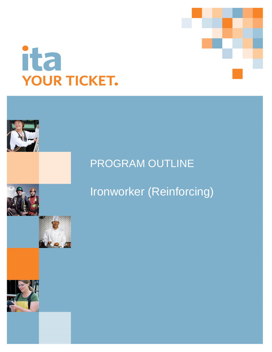

# PROGRAM OUTLINE

# Ironworker (Reinforcing)

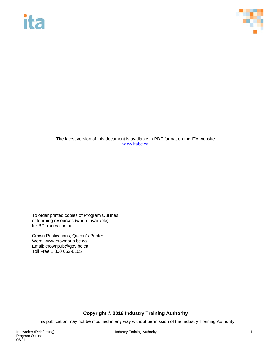# ita



The latest version of this document is available in PDF format on the ITA website [www.itabc.ca](http://www.itabc.ca/)

To order printed copies of Program Outlines or learning resources (where available) for BC trades contact:

Crown Publications, Queen's Printer Web: www.crownpub.bc.ca Email: crownpub@gov.bc.ca Toll Free 1 800 663-6105

### **Copyright © 2016 Industry Training Authority**

This publication may not be modified in any way without permission of the Industry Training Authority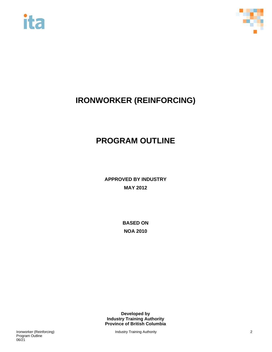



# **IRONWORKER (REINFORCING)**

## **PROGRAM OUTLINE**

**APPROVED BY INDUSTRY MAY 2012**

> **BASED ON NOA 2010**

**Developed by Industry Training Authority Province of British Columbia**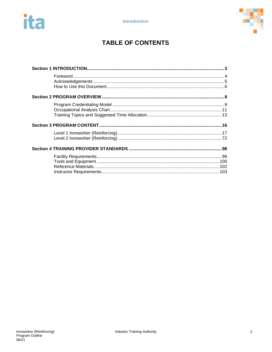



## **TABLE OF CONTENTS**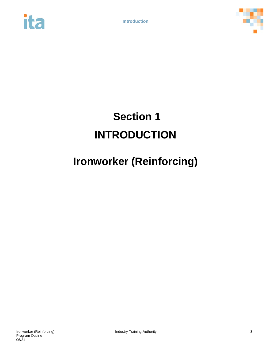



# <span id="page-4-0"></span>**Section 1 INTRODUCTION**

# **Ironworker (Reinforcing)**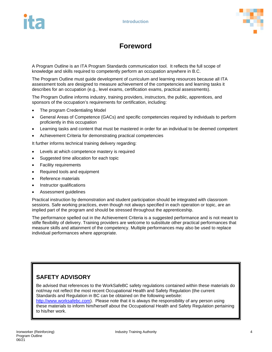

## **Foreword**

<span id="page-5-0"></span>A Program Outline is an ITA Program Standards communication tool. It reflects the full scope of knowledge and skills required to competently perform an occupation anywhere in B.C.

The Program Outline must guide development of curriculum and learning resources because all ITA assessment tools are designed to measure achievement of the competencies and learning tasks it describes for an occupation (e.g., level exams, certification exams, practical assessments).

The Program Outline informs industry, training providers, instructors, the public, apprentices, and sponsors of the occupation's requirements for certification, including:

- The program Credentialing Model
- General Areas of Competence (GACs) and specific competencies required by individuals to perform proficiently in this occupation
- Learning tasks and content that must be mastered in order for an individual to be deemed competent
- Achievement Criteria for demonstrating practical competencies

It further informs technical training delivery regarding:

- Levels at which competence mastery is required
- Suggested time allocation for each topic
- Facility requirements
- Required tools and equipment
- Reference materials
- Instructor qualifications
- Assessment guidelines

Practical instruction by demonstration and student participation should be integrated with classroom sessions. Safe working practices, even though not always specified in each operation or topic, are an implied part of the program and should be stressed throughout the apprenticeship.

The performance spelled out in the Achievement Criteria is a suggested performance and is not meant to stifle flexibility of delivery. Training providers are welcome to substitute other practical performances that measure skills and attainment of the competency. Multiple performances may also be used to replace individual performances where appropriate.

## **SAFETY ADVISORY**

Be advised that references to the WorkSafeBC safety regulations contained within these materials do not/may not reflect the most recent Occupational Health and Safety Regulation (the current Standards and Regulation in BC can be obtained on the following website:

[http://www.worksafebc.com\)](http://www.worksafebc.com/). Please note that it is always the responsibility of any person using these materials to inform him/herself about the Occupational Health and Safety Regulation pertaining to his/her work.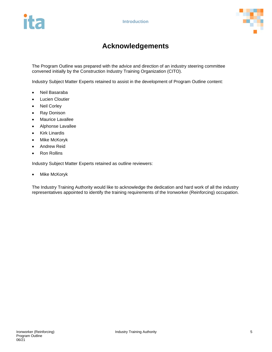

## **Acknowledgements**

<span id="page-6-0"></span>The Program Outline was prepared with the advice and direction of an industry steering committee convened initially by the Construction Industry Training Organization (CITO).

Industry Subject Matter Experts retained to assist in the development of Program Outline content:

- Neil Basaraba
- Lucien Cloutier
- Neil Corley
- Ray Donison
- Maurice Lavallee
- Alphonse Lavallee
- Kirk Linardis
- Mike McKoryk
- Andrew Reid
- Ron Rollins

Industry Subject Matter Experts retained as outline reviewers:

• Mike McKoryk

The Industry Training Authority would like to acknowledge the dedication and hard work of all the industry representatives appointed to identify the training requirements of the Ironworker (Reinforcing) occupation.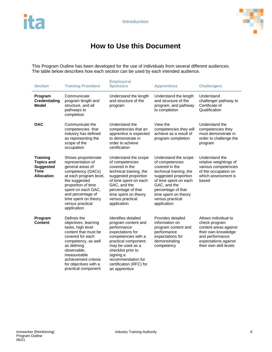

## **How to Use this Document**

<span id="page-7-0"></span>This Program Outline has been developed for the use of individuals from several different audiences. The table below describes how each section can be used by each intended audience.

| <b>Training Providers</b><br><b>Section</b> |                                                                                              | <b>Employers/</b><br><b>Sponsors</b>                                                                                                                                                                                                                     | <b>Apprentices</b>                                                                                                                                                                                                                                    | <b>Challengers</b>                                                                                                                                                                                                                     |                                                                                                                                                            |
|---------------------------------------------|----------------------------------------------------------------------------------------------|----------------------------------------------------------------------------------------------------------------------------------------------------------------------------------------------------------------------------------------------------------|-------------------------------------------------------------------------------------------------------------------------------------------------------------------------------------------------------------------------------------------------------|----------------------------------------------------------------------------------------------------------------------------------------------------------------------------------------------------------------------------------------|------------------------------------------------------------------------------------------------------------------------------------------------------------|
|                                             | Program<br><b>Credentialing</b><br><b>Model</b>                                              | Communicate<br>program length and<br>structure, and all<br>pathways to<br>completion                                                                                                                                                                     | Understand the length<br>and structure of the<br>program                                                                                                                                                                                              | Understand the length<br>and structure of the<br>program, and pathway<br>to completion                                                                                                                                                 | Understand<br>challenger pathway to<br>Certificate of<br>Qualification                                                                                     |
|                                             | <b>OAC</b>                                                                                   | Communicate the<br>competencies that<br>industry has defined<br>as representing the<br>scope of the<br>occupation                                                                                                                                        | Understand the<br>competencies that an<br>apprentice is expected<br>to demonstrate in<br>order to achieve<br>certification                                                                                                                            | View the<br>competencies they will<br>achieve as a result of<br>program completion                                                                                                                                                     | Understand the<br>competencies they<br>must demonstrate in<br>order to challenge the<br>program                                                            |
|                                             | <b>Training</b><br><b>Topics and</b><br><b>Suggested</b><br><b>Time</b><br><b>Allocation</b> | Shows proportionate<br>representation of<br>general areas of<br>competency (GACs)<br>at each program level,<br>the suggested<br>proportion of time<br>spent on each GAC,<br>and percentage of<br>time spent on theory<br>versus practical<br>application | Understand the scope<br>of competencies<br>covered in the<br>technical training, the<br>suggested proportion<br>of time spent on each<br>GAC, and the<br>percentage of that<br>time spent on theory<br>versus practical<br>application                | Understand the scope<br>of competencies<br>covered in the<br>technical training, the<br>suggested proportion<br>of time spent on each<br>GAC, and the<br>percentage of that<br>time spent on theory<br>versus practical<br>application | Understand the<br>relative weightings of<br>various competencies<br>of the occupation on<br>which assessment is<br>based                                   |
|                                             | Program<br><b>Content</b>                                                                    | Defines the<br>objectives, learning<br>tasks, high level<br>content that must be<br>covered for each<br>competency, as well<br>as defining<br>observable,<br>measureable<br>achievement criteria<br>for objectives with a<br>practical component         | Identifies detailed<br>program content and<br>performance<br>expectations for<br>competencies with a<br>practical component;<br>may be used as a<br>checklist prior to<br>signing a<br>recommendation for<br>certification (RFC) for<br>an apprentice | Provides detailed<br>information on<br>program content and<br>performance<br>expectations for<br>demonstrating<br>competency                                                                                                           | Allows individual to<br>check program<br>content areas against<br>their own knowledge<br>and performance<br>expectations against<br>their own skill levels |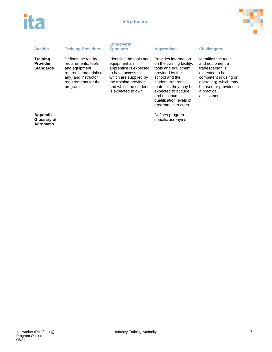



| <b>Section</b>                                         | <b>Training Providers</b>                                                                                                                          | <b>Employers/</b><br><b>Sponsors</b>                                                                                                                                                      | <b>Apprentices</b>                                                                                                                                                                                                                                    | <b>Challengers</b>                                                                                                                                                                   |
|--------------------------------------------------------|----------------------------------------------------------------------------------------------------------------------------------------------------|-------------------------------------------------------------------------------------------------------------------------------------------------------------------------------------------|-------------------------------------------------------------------------------------------------------------------------------------------------------------------------------------------------------------------------------------------------------|--------------------------------------------------------------------------------------------------------------------------------------------------------------------------------------|
| <b>Training</b><br><b>Provider</b><br><b>Standards</b> | Defines the facility<br>requirements, tools<br>and equipment,<br>reference materials (if<br>any) and instructor<br>requirements for the<br>program | Identifies the tools and<br>equipment an<br>apprentice is expected<br>to have access to:<br>which are supplied by<br>the training provider<br>and which the student<br>is expected to own | Provides information<br>on the training facility,<br>tools and equipment<br>provided by the<br>school and the<br>student, reference<br>materials they may be<br>expected to acquire.<br>and minimum<br>qualification levels of<br>program instructors | Identifies the tools<br>and equipment a<br>tradesperson is<br>expected to be<br>competent in using or<br>operating; which may<br>be used or provided in<br>a practical<br>assessment |
| Appendix-<br>Glossary of<br><b>Acronyms</b>            |                                                                                                                                                    |                                                                                                                                                                                           | Defines program<br>specific acronyms                                                                                                                                                                                                                  |                                                                                                                                                                                      |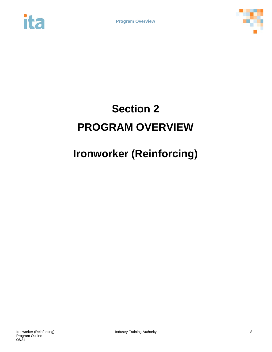<span id="page-9-0"></span>



# **Section 2 PROGRAM OVERVIEW**

# **Ironworker (Reinforcing)**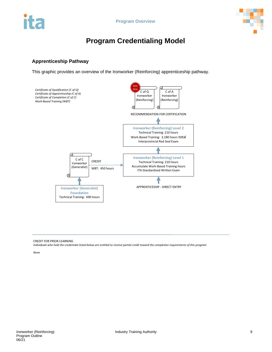

## **Program Credentialing Model**

#### <span id="page-10-0"></span>**Apprenticeship Pathway**

This graphic provides an overview of the Ironworker (Reinforcing) apprenticeship pathway.



CREDIT FOR PRIOR LEARNING

*Individuals who hold the credentials listed below are entitled to receive partial credit toward the completion requirements of this program*

*None*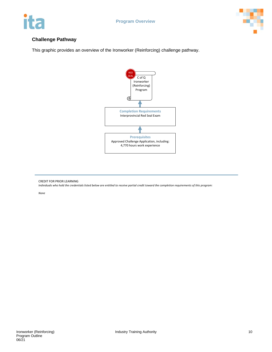



#### **Challenge Pathway**

This graphic provides an overview of the Ironworker (Reinforcing) challenge pathway.



CREDIT FOR PRIOR LEARNING

*Individuals who hold the credentials listed below are entitled to receive partial credit toward the completion requirements of this program:*

*None*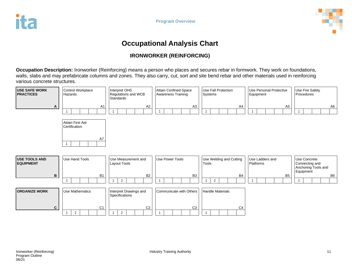



## **Occupational Analysis Chart**

## **IRONWORKER (REINFORCING)**

**Occupation Description:** Ironworker (Reinforcing) means a person who places and secures rebar in formwork. They work on foundations, walls, slabs and may prefabricate columns and zones. They also carry, cut, sort and site bend rebar and other materials used in reinforcing various concrete structures.

<span id="page-12-0"></span>

| <b>USE SAFE WORK</b><br><b>PRACTICES</b> | Control Workplace<br>Hazards             | Interpret OHS<br>Regulations and WCB<br>Standards | <b>Attain Confined Space</b><br>Awareness Training | Use Fall Protection<br>Systems   | Use Personal Protective<br>Equipment | Use Fire Safety<br>Procedures                                |  |
|------------------------------------------|------------------------------------------|---------------------------------------------------|----------------------------------------------------|----------------------------------|--------------------------------------|--------------------------------------------------------------|--|
| A                                        | A <sub>1</sub>                           | A2                                                | A <sub>3</sub>                                     | A4                               | A <sub>5</sub>                       | A6                                                           |  |
|                                          | <b>Attain First Aid</b><br>Certification |                                                   |                                                    |                                  |                                      |                                                              |  |
|                                          | A7                                       |                                                   |                                                    |                                  |                                      |                                                              |  |
| <b>USE TOOLS AND</b><br><b>EQUIPMENT</b> | Use Hand Tools                           | Use Measurement and<br>Layout Tools               | Use Power Tools                                    | Use Welding and Cutting<br>Tools | Use Ladders and<br>Platforms         | <b>Use Concrete</b><br>Connecting and<br>Anchoring Tools and |  |
| B                                        | B <sub>1</sub>                           | <b>B2</b><br>$\overline{2}$                       | B <sub>3</sub>                                     | <b>B4</b><br>$\overline{2}$      | B <sub>5</sub>                       | Equipment<br>B <sub>6</sub>                                  |  |
| <b>ORGANIZE WORK</b>                     | Use Mathematics                          | Interpret Drawings and<br>Specifications          | Communicate with Others                            | <b>Handle Materials</b>          |                                      |                                                              |  |
| C                                        | C <sub>1</sub><br>2                      | C <sub>2</sub><br>2                               | C <sub>3</sub>                                     | C <sub>4</sub>                   |                                      |                                                              |  |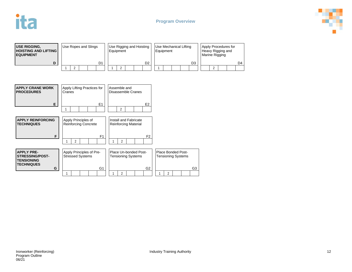

D4



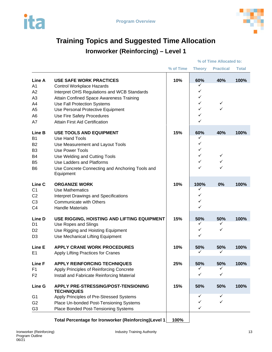



**% of Time Allocated to:**

## <span id="page-14-0"></span>**Training Topics and Suggested Time Allocation Ironworker (Reinforcing) – Level 1**

|                |                                                          |           |               | 70 OF THE ANOGALED TO. |              |  |
|----------------|----------------------------------------------------------|-----------|---------------|------------------------|--------------|--|
|                |                                                          | % of Time | <b>Theory</b> | <b>Practical</b>       | <b>Total</b> |  |
| Line A         | USE SAFE WORK PRACTICES                                  | 10%       | 60%           | 40%                    | 100%         |  |
| A <sub>1</sub> | <b>Control Workplace Hazards</b>                         |           | ✓             |                        |              |  |
| A2             | Interpret OHS Regulations and WCB Standards              |           | ✓             |                        |              |  |
| A <sub>3</sub> | Attain Confined Space Awareness Training                 |           | ✓             |                        |              |  |
| A4             | Use Fall Protection Systems                              |           | ✓             | ✓                      |              |  |
| A <sub>5</sub> | Use Personal Protective Equipment                        |           | ✓             | ✓                      |              |  |
| A <sub>6</sub> | Use Fire Safety Procedures                               |           | ✓             |                        |              |  |
| A7             | <b>Attain First Aid Certification</b>                    |           | ✓             |                        |              |  |
| <b>Line B</b>  | <b>USE TOOLS AND EQUIPMENT</b>                           | 15%       | 60%           | 40%                    | 100%         |  |
| <b>B1</b>      | <b>Use Hand Tools</b>                                    |           | ✓             |                        |              |  |
| <b>B2</b>      | Use Measurement and Layout Tools                         |           | ✓             |                        |              |  |
| B <sub>3</sub> | <b>Use Power Tools</b>                                   |           | ✓             |                        |              |  |
| <b>B4</b>      | Use Welding and Cutting Tools                            |           | ✓             | ✓                      |              |  |
| B <sub>5</sub> | Use Ladders and Platforms                                |           | ✓             | ✓                      |              |  |
| B <sub>6</sub> | Use Concrete Connecting and Anchoring Tools and          |           | ✓             | ✓                      |              |  |
|                | Equipment                                                |           |               |                        |              |  |
| Line C         | <b>ORGANIZE WORK</b>                                     | 10%       | 100%          | 0%                     | 100%         |  |
| C <sub>1</sub> | Use Mathematics                                          |           | ✓             |                        |              |  |
| C <sub>2</sub> | <b>Interpret Drawings and Specifications</b>             |           | ✓             |                        |              |  |
| C <sub>3</sub> | <b>Communicate with Others</b>                           |           | ✓             |                        |              |  |
| C <sub>4</sub> | <b>Handle Materials</b>                                  |           | ✓             |                        |              |  |
| Line D         | USE RIGGING, HOISTING AND LIFTING EQUIPMENT              | 15%       | 50%           | 50%                    | 100%         |  |
| D <sub>1</sub> | Use Ropes and Slings                                     |           | ✓             | ✓                      |              |  |
| D2             | Use Rigging and Hoisting Equipment                       |           | ✓             | ✓                      |              |  |
| D <sub>3</sub> | Use Mechanical Lifting Equipment                         |           | ✓             |                        |              |  |
| Line E         | <b>APPLY CRANE WORK PROCEDURES</b>                       | 10%       | 50%           | 50%                    | 100%         |  |
| E1             | Apply Lifting Practices for Cranes                       |           | ✓             | ✓                      |              |  |
| <b>Line F</b>  | <b>APPLY REINFORCING TECHNIQUES</b>                      | 25%       | 50%           | 50%                    | 100%         |  |
| F <sub>1</sub> | Apply Principles of Reinforcing Concrete                 |           | ✓             | ✓                      |              |  |
| F <sub>2</sub> | Install and Fabricate Reinforcing Material               |           | ✓             | $\checkmark$           |              |  |
| Line G         | APPLY PRE-STRESSING/POST-TENSIONING<br><b>TECHNIQUES</b> | 15%       | 50%           | 50%                    | 100%         |  |
| G <sub>1</sub> | Apply Principles of Pre-Stressed Systems                 |           | ✓             | ✓                      |              |  |
| G <sub>2</sub> | Place Un-bonded Post-Tensioning Systems                  |           | ✓             | ✓                      |              |  |
| G <sub>3</sub> | Place Bonded Post-Tensioning Systems                     |           | ✓             |                        |              |  |
|                |                                                          |           |               |                        |              |  |

**Total Percentage for Ironworker (Reinforcing)Level 1 100%**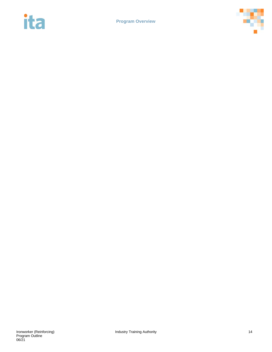

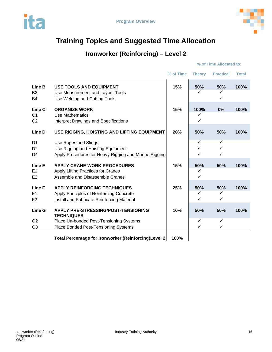



## **Training Topics and Suggested Time Allocation**

## **Ironworker (Reinforcing) – Level 2**

|                                                    |                                                                                                                               | % of Time | <b>Theory</b>                     | <b>Practical</b>                  | <b>Total</b> |
|----------------------------------------------------|-------------------------------------------------------------------------------------------------------------------------------|-----------|-----------------------------------|-----------------------------------|--------------|
| Line B<br><b>B2</b><br>B4                          | <b>USE TOOLS AND EQUIPMENT</b><br>Use Measurement and Layout Tools<br>Use Welding and Cutting Tools                           | 15%       | 50%<br>✓                          | 50%<br>✓<br>✓                     | 100%         |
| Line C<br>C <sub>1</sub><br>C <sub>2</sub>         | <b>ORGANIZE WORK</b><br>Use Mathematics<br><b>Interpret Drawings and Specifications</b>                                       | 15%       | 100%<br>✓<br>✓                    | 0%                                | 100%         |
| Line D                                             | USE RIGGING, HOISTING AND LIFTING EQUIPMENT                                                                                   | 20%       | 50%                               | 50%                               | 100%         |
| D <sub>1</sub><br>D <sub>2</sub><br>D <sub>4</sub> | Use Ropes and Slings<br>Use Rigging and Hoisting Equipment<br>Apply Procedures for Heavy Rigging and Marine Rigging           |           | $\checkmark$<br>$\checkmark$<br>✓ | $\checkmark$<br>✓<br>$\checkmark$ |              |
| Line E<br>E <sub>1</sub><br>E <sub>2</sub>         | <b>APPLY CRANE WORK PROCEDURES</b><br>Apply Lifting Practices for Cranes<br>Assemble and Disassemble Cranes                   | 15%       | 50%<br>$\checkmark$<br>✓          | 50%                               | 100%         |
| Line F<br>F <sub>1</sub><br>F <sub>2</sub>         | <b>APPLY REINFORCING TECHNIQUES</b><br>Apply Principles of Reinforcing Concrete<br>Install and Fabricate Reinforcing Material | 25%       | 50%<br>✓<br>✓                     | 50%<br>✓<br>✓                     | 100%         |
| <b>Line G</b>                                      | APPLY PRE-STRESSING/POST-TENSIONING<br><b>TECHNIQUES</b>                                                                      | 10%       | 50%                               | 50%                               | 100%         |
| G <sub>2</sub><br>G <sub>3</sub>                   | Place Un-bonded Post-Tensioning Systems<br>Place Bonded Post-Tensioning Systems                                               |           | $\checkmark$<br>✓                 | $\checkmark$<br>$\checkmark$      |              |
|                                                    | Total Percentage for Ironworker (Reinforcing)Level 2                                                                          | 100%      |                                   |                                   |              |

#### **% of Time Allocated to:**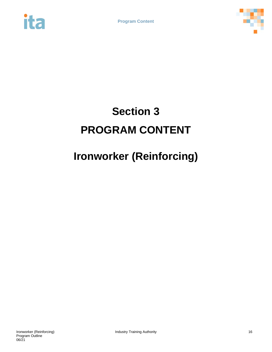<span id="page-17-0"></span>



# **Section 3 PROGRAM CONTENT**

# **Ironworker (Reinforcing)**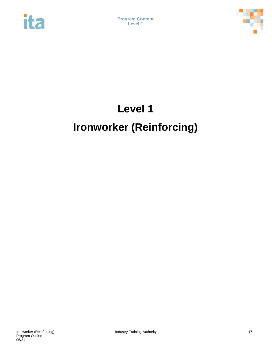<span id="page-18-0"></span>



# **Level 1 Ironworker (Reinforcing)**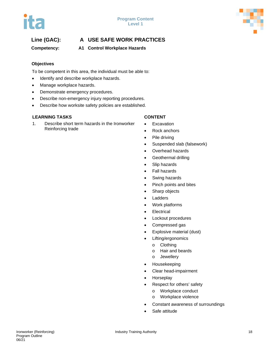

**Competency: A1 Control Workplace Hazards**

#### **Objectives**

To be competent in this area, the individual must be able to:

- Identify and describe workplace hazards.
- Manage workplace hazards.
- Demonstrate emergency procedures.
- Describe non-emergency injury reporting procedures.
- Describe how worksite safety policies are established.

#### **LEARNING TASKS CONTENT**

1. Describe short term hazards in the Ironworker Reinforcing trade

- Excavation
- Rock anchors
- Pile driving
- Suspended slab (falsework)
- Overhead hazards
- Geothermal drilling
- Slip hazards
- Fall hazards
- Swing hazards
- Pinch points and bites
- Sharp objects
- **Ladders**
- Work platforms
- Electrical
- Lockout procedures
- Compressed gas
- Explosive material (dust)
- Lifting/ergonomics
	- o Clothing
	- o Hair and beards
	- o Jewellery
- Housekeeping
- Clear head-impairment
- Horseplay
- Respect for others' safety
	- o Workplace conduct
	- o Workplace violence
- Constant awareness of surroundings
- Safe attitude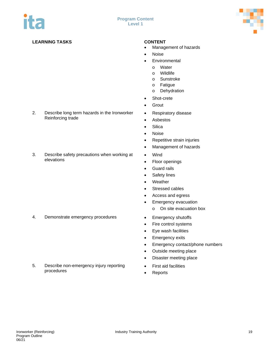

#### **LEARNING TASKS CONTENT**

- Management of hazards
- Noise
- **Environmental** 
	- o Water
	- o Wildlife
	- o Sunstroke
	- o Fatigue
	- o Dehydration
- Shot-crete
- Grout
- Respiratory disease
- Asbestos
- Silica
- Noise
- Repetitive strain injuries
- Management of hazards
- Wind
- Floor openings
- Guard rails
- Safety lines
- Weather
- Stressed cables
- Access and egress
- Emergency evacuation
	- o On site evacuation box
- 
- Fire control systems
- Eye wash facilities
- Emergency exits
- Emergency contact/phone numbers
- Outside meeting place
- Disaster meeting place
- First aid facilities
- Reports
- 2. Describe long term hazards in the Ironworker Reinforcing trade
- 3. Describe safety precautions when working at elevations

4. Demonstrate emergency procedures • Emergency shutoffs

5. Describe non-emergency injury reporting procedures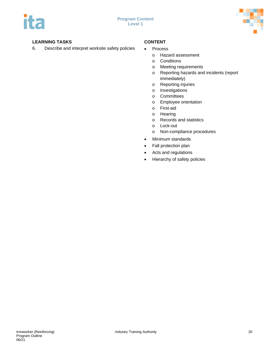

#### **LEARNING TASKS CONTENT**

6. Describe and interpret worksite safety policies • Process

- - o Hazard assessment
	- o Conditions
	- o Meeting requirements
	- o Reporting hazards and incidents (report immediately)
	- o Reporting injuries
	- o Investigations
	- o Committees
	- o Employee orientation
	- o First-aid
	- o Hearing
	- o Records and statistics
	- o Lock-out
	- o Non-compliance procedures
- Minimum standards
- Fall protection plan
- Acts and regulations
- Hierarchy of safety policies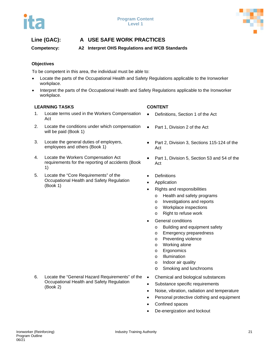



**Competency: A2 Interpret OHS Regulations and WCB Standards**

#### **Objectives**

To be competent in this area, the individual must be able to:

- Locate the parts of the Occupational Health and Safety Regulations applicable to the Ironworker workplace.
- Interpret the parts of the Occupational Health and Safety Regulations applicable to the Ironworker workplace.

#### **LEARNING TASKS CONTENT**

- 1. Locate terms used in the Workers Compensation Definitions, Section 1 of the Act Act
- 2. Locate the conditions under which compensation will be paid (Book 1) Part 1, Division 2 of the Act
- 3. Locate the general duties of employers,
- 4. Locate the Workers Compensation Act requirements for the reporting of accidents (Book 1)
- 5. Locate the "Core Requirements" of the Occupational Health and Safety Regulation (Book 1)

- 
- 
- Locate the general duties of employers,<br>
employees and others (Book 1) employees and others (Book 1) Act
	- Part 1, Division 5, Section 53 and 54 of the Act
	- **Definitions**
	- **Application**
	- Rights and responsibilities
		- o Health and safety programs
		- o Investigations and reports
		- o Workplace inspections
		- o Right to refuse work
	- General conditions
		- o Building and equipment safety
		- o Emergency preparedness
		- o Preventing violence
		- o Working alone
		- o Ergonomics
		- o Illumination
		- o Indoor air quality
		- o Smoking and lunchrooms
- 6. Locate the "General Hazard Requirements" of the Occupational Health and Safety Regulation (Book 2)
	- Chemical and biological substances
	- Substance specific requirements
	- Noise, vibration, radiation and temperature
	- Personal protective clothing and equipment
	- Confined spaces
	- De-energization and lockout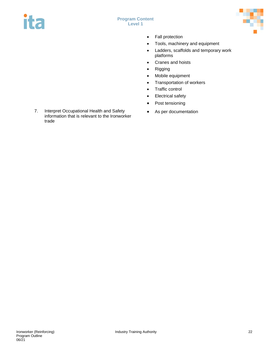



- Fall protection
- Tools, machinery and equipment
- Ladders, scaffolds and temporary work platforms
- Cranes and hoists
- Rigging
- Mobile equipment
- Transportation of workers
- Traffic control
- Electrical safety
- Post tensioning
- As per documentation
- 7. Interpret Occupational Health and Safety information that is relevant to the Ironworker trade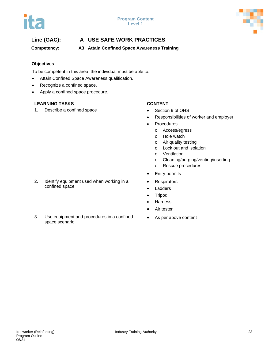

**Competency: A3 Attain Confined Space Awareness Training**

#### **Objectives**

To be competent in this area, the individual must be able to:

- Attain Confined Space Awareness qualification.
- Recognize a confined space.
- Apply a confined space procedure.

#### **LEARNING TASKS CONTENT**

1. Describe a confined space **•** Section 9 of OHS

- 
- Responsibilities of worker and employer
- Procedures
	- o Access/egress
	- o Hole watch
	- o Air quality testing
	- o Lock out and isolation
	- o Ventilation
	- o Cleaning/purging/venting/inserting
	- o Rescue procedures
- Entry permits
- Respirators
- Ladders
- Tripod
- Harness
- Air tester
- 
- 2. Identify equipment used when working in a confined space
- 3. Use equipment and procedures in a confined space scenario As per above content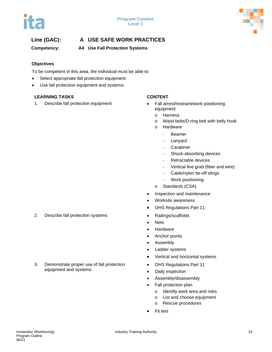

#### **Competency: A4 Use Fall Protection Systems**

#### **Objectives**

To be competent in this area, the individual must be able to:

- Select appropriate fall protection equipment.
- Use fall protection equipment and systems.

#### **LEARNING TASKS CONTENT**

- 1. Describe fall protection equipment Fall arrest/restraint/work positioning equipment
	- o Harness
	- o Waist belts/D-ring belt with belly hook
	- o Hardware
		- **Beamer**
		- Lanyard
		- Carabiner
		- Shock-absorbing devices
		- Retractable devices
		- Vertical line grab (fiber and wire)
		- Cable/nylon tie-off slings
		- Work positioning
	- o Standards (CSA)
	- Inspection and maintenance
	- Worksite awareness
	- OHS Regulations Part 11
	-
	- **Nets**
	- **Hardware**
	- Anchor points
	- **Assembly**
	- Ladder systems
	- Vertical and horizontal systems
	- OHS Regulations Part 11
	- Daily inspection
	- Assembly/disassembly
	- Fall protection plan
		- o Identify work area and risks
		- o List and choose equipment
		- o Rescue procedures
	- **Fit test**

2. Describe fall protection systems • Railings/scaffolds

3. Demonstrate proper use of fall protection

equipment and systems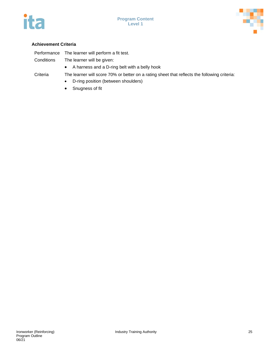



#### **Achievement Criteria**

Performance The learner will perform a fit test.

- Conditions The learner will be given:
	- A harness and a D-ring belt with a belly hook
- 

Criteria The learner will score 70% or better on a rating sheet that reflects the following criteria:

- D-ring position (between shoulders)
- Snugness of fit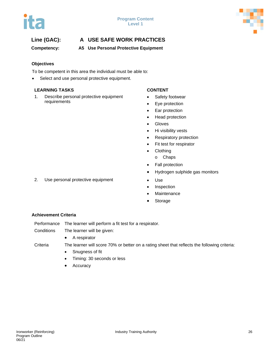

**Competency: A5 Use Personal Protective Equipment**

#### **Objectives**

To be competent in this area the individual must be able to:

• Select and use personal protective equipment.

#### **LEARNING TASKS CONTENT**

1. Describe personal protective equipment requirements

- Safety footwear
- Eye protection
- Ear protection
- Head protection
- Gloves
- Hi visibility vests
- Respiratory protection
- Fit test for respirator
- Clothing
	- o Chaps
- Fall protection
- Hydrogen sulphide gas monitors
- 
- **Inspection**
- **Maintenance**
- **Storage**

#### **Achievement Criteria**

Performance The learner will perform a fit test for a respirator.

Conditions The learner will be given:

- A respirator
- 

Criteria The learner will score 70% or better on a rating sheet that reflects the following criteria:

- Snugness of fit
- Timing: 30 seconds or less
- Accuracy

2. Use personal protective equipment • Use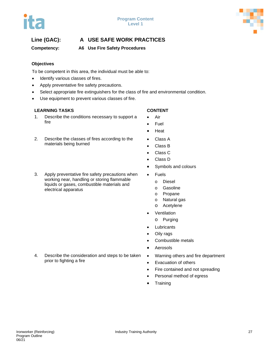

**Competency: A6 Use Fire Safety Procedures**

#### **Objectives**

To be competent in this area, the individual must be able to:

- Identify various classes of fires.
- Apply preventative fire safety precautions.
- Select appropriate fire extinguishers for the class of fire and environmental condition.
- Use equipment to prevent various classes of fire.

#### **LEARNING TASKS CONTENT**

- 1. Describe the conditions necessary to support a fire
- 2. Describe the classes of fires according to the materials being burned
- 3. Apply preventative fire safety precautions when working near, handling or storing flammable liquids or gases, combustible materials and electrical apparatus

- Air
- Fuel
- Heat
- Class A
- Class B
- Class C
- Class D
- Symbols and colours
- Fuels
	- o Diesel
	- o Gasoline
	- o Propane
	- o Natural gas
	- o Acetylene
- Ventilation
	- o Purging
- Lubricants
- Oily rags
- Combustible metals
- **Aerosols**
- Warning others and fire department
- Evacuation of others
- Fire contained and not spreading
- Personal method of egress
- **Training**

4. Describe the consideration and steps to be taken prior to fighting a fire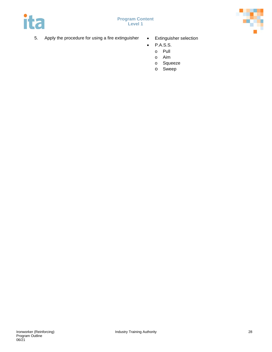



- 5. Apply the procedure for using a fire extinguisher Extinguisher selection
	-
	- P.A.S.S.
		- o Pull
		- o Aim
		- o Squeeze
		- o Sweep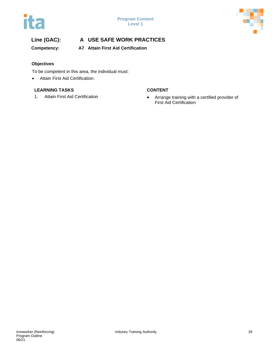

**Competency: A7 Attain First Aid Certification**

#### **Objectives**

To be competent in this area, the individual must:

• Attain First Aid Certification.

#### **LEARNING TASKS CONTENT**

1. Attain First Aid Certification **First Aid Certification** • Arrange training with a certified provider of First Aid Certification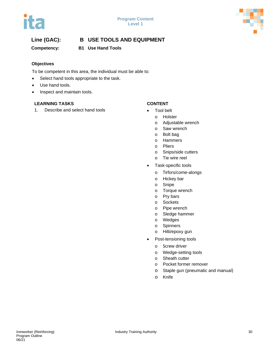



### **Line (GAC): B USE TOOLS AND EQUIPMENT**

**Competency: B1 Use Hand Tools**

#### **Objectives**

To be competent in this area, the individual must be able to:

- Select hand tools appropriate to the task.
- Use hand tools.
- Inspect and maintain tools.

#### **LEARNING TASKS CONTENT**

1. Describe and select hand tools **•** Tool belt

- - o Holster
	- o Adjustable wrench
	- o Saw wrench
	- o Bolt bag
	- o Hammers
	- o Pliers
	- o Snips/side cutters
	- o Tie wire reel
- Task-specific tools
	- o Tirfors/come-alongs
	- o Hickey bar
	- o Snipe
	- o Torque wrench
	- o Pry bars
	- o Sockets
	- o Pipe wrench
	- o Sledge hammer
	- o Wedges
	- o Spinners
	- o Hilti/epoxy gun
- Post-tensioning tools
	- o Screw driver
	- o Wedge-setting tools
	- o Sheath cutter
	- o Pocket former remover
	- o Staple gun (pneumatic and manual)
	- o Knife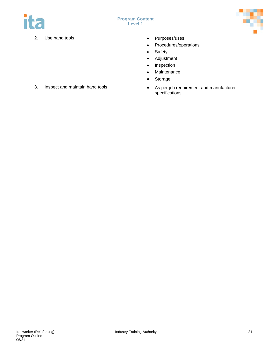



- 2. Use hand tools **be a set of the set of the set of the set of the set of the Purposes/uses** 
	-
	- Procedures/operations
	- Safety
	- Adjustment
	- Inspection
	- Maintenance
	- Storage
- 3. Inspect and maintain hand tools **•** As per job requirement and manufacturer specifications
-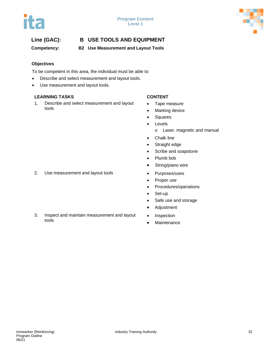

## **Line (GAC): B USE TOOLS AND EQUIPMENT**

**Competency: B2 Use Measurement and Layout Tools**

#### **Objectives**

To be competent in this area, the individual must be able to:

- Describe and select measurement and layout tools.
- Use measurement and layout tools.

#### **LEARNING TASKS CONTENT**

1. Describe and select measurement and layout tools

- Tape measure
- Marking device
- **Squares**
- Levels
	- o Laser, magnetic and manual
- Chalk line
- Straight edge
- Scribe and soapstone
- Plumb bob
- String/piano wire
- 
- Proper use
- Procedures/operations
- Set-up
- Safe use and storage
- Adjustment
- Inspection
- Maintenance

2. Use measurement and layout tools **•** Purposes/uses

3. Inspect and maintain measurement and layout tools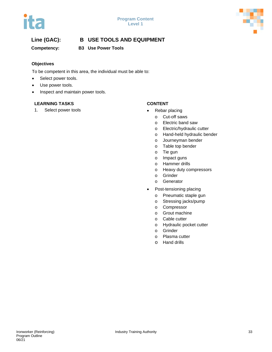



### **Line (GAC): B USE TOOLS AND EQUIPMENT**

**Competency: B3 Use Power Tools**

#### **Objectives**

To be competent in this area, the individual must be able to:

- Select power tools.
- Use power tools.
- Inspect and maintain power tools.

#### **LEARNING TASKS CONTENT**

1. Select power tools **by a set of the Secure 1** and Select power tools

- - o Cut-off saws
	- o Electric band saw
	- o Electric/hydraulic cutter
	- o Hand-held hydraulic bender
	- o Journeyman bender
	- o Table top bender
	- o Tie gun
	- o Impact guns
	- o Hammer drills
	- o Heavy duty compressors
	- o Grinder
	- o Generator
- Post-tensioning placing
	- o Pneumatic staple gun
	- o Stressing jacks/pump
	- o Compressor
	- o Grout machine
	- o Cable cutter
	- o Hydraulic pocket cutter
	- o Grinder
	- o Plasma cutter
	- o Hand drills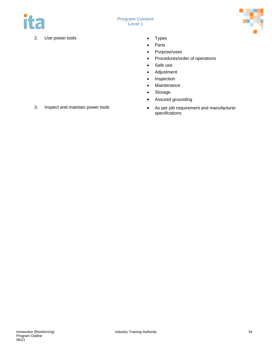



- 2. Use power tools **and the COV** of Types
	-
	- Parts
	- Purpose/uses
	- Procedures/order of operations
	- Safe use
	- Adjustment
	- Inspection
	- Maintenance
	- Storage
	- Assured grounding
- 3. Inspect and maintain power tools **•** As per job requirement and manufacturer specifications
-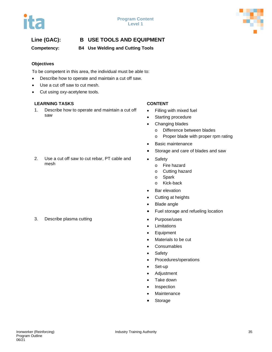

# **Line (GAC): B USE TOOLS AND EQUIPMENT**

# **Competency: B4 Use Welding and Cutting Tools**

# **Objectives**

To be competent in this area, the individual must be able to:

- Describe how to operate and maintain a cut off saw.
- Use a cut off saw to cut mesh.
- Cut using oxy-acetylene tools.

# **LEARNING TASKS CONTENT**

1. Describe how to operate and maintain a cut off saw

- Filling with mixed fuel
- Starting procedure
- Changing blades
	- o Difference between blades
	- o Proper blade with proper rpm rating
- Basic maintenance
- Storage and care of blades and saw
- Safety
	- o Fire hazard
	- o Cutting hazard
	- o Spark
	- o Kick-back
- Bar elevation
- Cutting at heights
- Blade angle
- Fuel storage and refueling location
- 
- **Limitations**
- Equipment
- Materials to be cut
- **Consumables**
- **Safety**
- Procedures/operations
- Set-up
- Adjustment
- Take down
- **Inspection**
- **Maintenance**
- **Storage**

# 2. Use a cut off saw to cut rebar, PT cable and mesh

3. Describe plasma cutting example of the Purpose/uses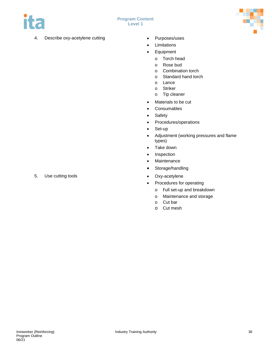



- 4. Describe oxy-acetylene cutting **•** Purposes/uses
	-
	- **Limitations**
	- **Equipment** 
		- o Torch head
		- o Rose bud
		- o Combination torch
		- o Standard hand torch
		- o Lance
		- o Striker
		- o Tip cleaner
	- Materials to be cut
	- **Consumables**
	- Safety
	- Procedures/operations
	- Set-up
	- Adjustment (working pressures and flame types)
	- Take down
	- **Inspection**
	- Maintenance
	- Storage/handling
- 5. Use cutting tools **by a controlled to the Controller Controller** on the Oxy-acetylene
	- Procedures for operating
		- o Full set-up and breakdown
		- o Maintenance and storage
		- o Cut bar
		- o Cut mesh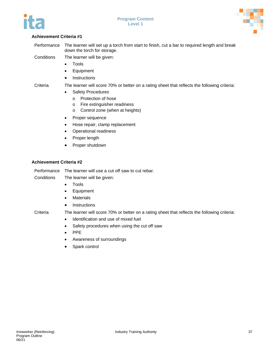



Performance The learner will set up a torch from start to finish, cut a bar to required length and break down the torch for storage.

Conditions The learner will be given:

- Tools
- Equipment
- Instructions

Criteria The learner will score 70% or better on a rating sheet that reflects the following criteria:

- Safety Procedures
	- o Protection of hose
	- o Fire extinguisher readiness
	- o Control zone (when at heights)
- Proper sequence
- Hose repair, clamp replacement
- Operational readiness
- Proper length
- Proper shutdown

### **Achievement Criteria #2**

Performance The learner will use a cut off saw to cut rebar.

- Conditions The learner will be given:
	- Tools
	- Equipment
	- Materials
	- Instructions

Criteria The learner will score 70% or better on a rating sheet that reflects the following criteria:

- Identification and use of mixed fuel
- Safety procedures when using the cut off saw
- PPE
- Awareness of surroundings
- Spark control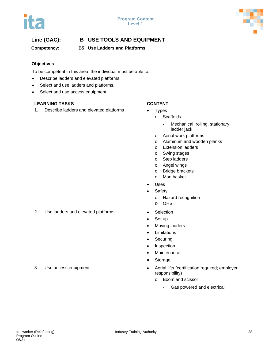

# **Line (GAC): B USE TOOLS AND EQUIPMENT**

**Competency: B5 Use Ladders and Platforms** 

# **Objectives**

To be competent in this area, the individual must be able to:

- Describe ladders and elevated platforms.
- Select and use ladders and platforms.
- Select and use access equipment.

# **LEARNING TASKS CONTENT**

1. Describe ladders and elevated platforms • Types

- - o Scaffolds
		- Mechanical, rolling, stationary, ladder jack
	- o Aerial work platforms
	- o Aluminum and wooden planks
	- o Extension ladders
	- o Swing stages
	- o Step ladders
	- o Angel wings
	- o Bridge brackets
	- o Man basket
- Uses
- **Safety** 
	- o Hazard recognition
- o OHS
- 2. Use ladders and elevated platforms Selection
	- Set up
	- Moving ladders
	- Limitations
	- **Securing**
	- **Inspection**
	- **Maintenance**
	- **Storage**
- 3. Use access equipment **•** Aerial lifts (certification required; employer responsibility)
	- o Boom and scissor
		- Gas powered and electrical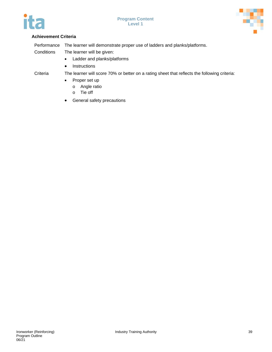



Performance The learner will demonstrate proper use of ladders and planks/platforms.

- Conditions The learner will be given:
	- Ladder and planks/platforms
	- Instructions
- Criteria The learner will score 70% or better on a rating sheet that reflects the following criteria:
	- Proper set up
		- o Angle ratio
		- o Tie off
	- General safety precautions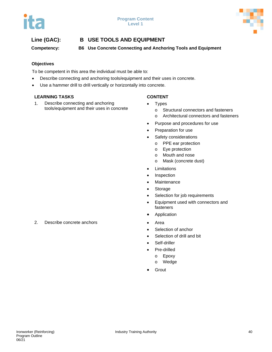

# **Line (GAC): B USE TOOLS AND EQUIPMENT**

**Competency: B6 Use Concrete Connecting and Anchoring Tools and Equipment**

# **Objectives**

To be competent in this area the individual must be able to:

- Describe connecting and anchoring tools/equipment and their uses in concrete.
- Use a hammer drill to drill vertically or horizontally into concrete.

# **LEARNING TASKS CONTENT**

- 1. Describe connecting and anchoring tools/equipment and their uses in concrete
- Types
	- o Structural connectors and fasteners
	- o Architectural connectors and fasteners
- Purpose and procedures for use
- Preparation for use
- Safety considerations
	- o PPE ear protection
	- o Eye protection
	- o Mouth and nose
	- o Mask (concrete dust)
- **Limitations**
- Inspection
- **Maintenance**
- **Storage**
- Selection for job requirements
- Equipment used with connectors and fasteners
- Application
- 
- Selection of anchor
- Selection of drill and bit
- Self-driller
- Pre-drilled
- o Epoxy
- o Wedge
- **Grout**

2. Describe concrete anchors **•** Area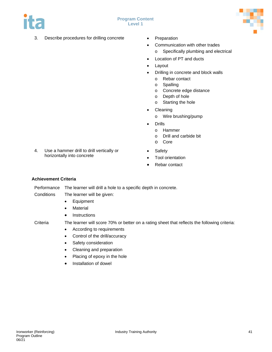



- 3. Describe procedures for drilling concrete Preparation
	-
	- Communication with other trades
		- o Specifically plumbing and electrical
	- Location of PT and ducts
	- **Layout**
	- Drilling in concrete and block walls
		- o Rebar contact
		- o Spalling
		- o Concrete edge distance
		- o Depth of hole
		- o Starting the hole
	- **Cleaning** 
		- o Wire brushing/pump
	- Drills
		- o Hammer
		- o Drill and carbide bit
		- o Core
- 4. Use a hammer drill to drill vertically or horizontally into concrete
- Safety
- Tool orientation
- Rebar contact

Performance The learner will drill a hole to a specific depth in concrete.

- Conditions The learner will be given:
	- Equipment
	- Material
	- Instructions
- 

Criteria The learner will score 70% or better on a rating sheet that reflects the following criteria:

- According to requirements
- Control of the drill/accuracy
- Safety consideration
- Cleaning and preparation
- Placing of epoxy in the hole
- Installation of dowel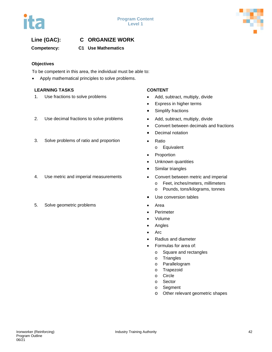

**Competency: C1 Use Mathematics**

# **Objectives**

To be competent in this area, the individual must be able to:

• Apply mathematical principles to solve problems.

# **LEARNING TASKS CONTENT**

- 1. Use fractions to solve problems **•** Add, subtract, multiply, divide
- 2. Use decimal fractions to solve problems Add, subtract, multiply, divide
- 3. Solve problems of ratio and proportion Ratio
- 4. Use metric and imperial measurements Convert between metric and imperial
- 5. Solve geometric problems **•** Area

- 
- Express in higher terms
- Simplify fractions
- 
- Convert between decimals and fractions
- Decimal notation
- - o Equivalent
- Proportion
- Unknown quantities
- Similar triangles
- - o Feet, inches/meters, millimeters
	- o Pounds, tons/kilograms, tonnes
- Use conversion tables
- 
- **Perimeter**
- Volume
- Angles
- Arc
- Radius and diameter
- Formulas for area of:
	- o Square and rectangles
	- o Triangles
	- o Parallelogram
	- o Trapezoid
	- o Circle
	- o Sector
	- o Segment
	- o Other relevant geometric shapes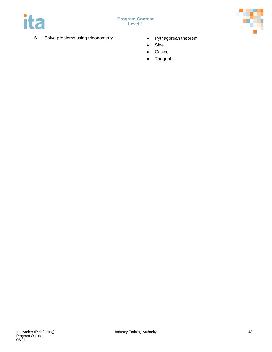





- Sine
- Cosine
- Tangent

33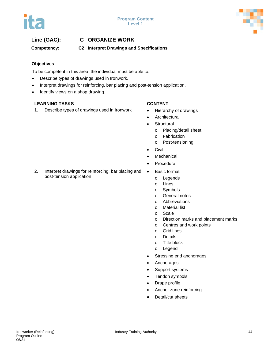

**Competency: C2 Interpret Drawings and Specifications**

# **Objectives**

To be competent in this area, the individual must be able to:

- Describe types of drawings used in Ironwork.
- Interpret drawings for reinforcing, bar placing and post-tension application.
- Identify views on a shop drawing.

# **LEARNING TASKS CONTENT**

1. Describe types of drawings used in Ironwork • Hierarchy of drawings

- 
- **Architectural**
- Structural
	- o Placing/detail sheet
	- o Fabrication
	- o Post-tensioning
- Civil
- **Mechanical**
- **Procedural**
- Basic format
	- o Legends
	- o Lines
	- o Symbols
	- o General notes
	- o Abbreviations
	- o Material list
	- o Scale
	- o Direction marks and placement marks
	- o Centres and work points
	- o Grid lines
	- o Details
	- o Title block
	- o Legend
- Stressing end anchorages
- **Anchorages**
- Support systems
- Tendon symbols
- Drape profile
- Anchor zone reinforcing
- Detail/cut sheets

2. Interpret drawings for reinforcing, bar placing and post-tension application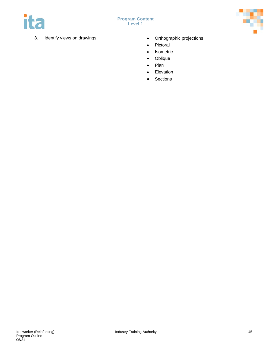



- 3. Identify views on drawings **and the Community of Community** Orthographic projections
	-
	- Pictoral
	- Isometric
	- Oblique
	- Plan
	- Elevation
	- Sections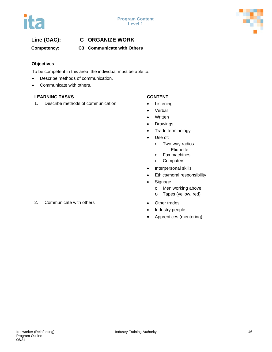

**Competency: C3 Communicate with Others**

# **Objectives**

To be competent in this area, the individual must be able to:

- Describe methods of communication.
- Communicate with others.

# **LEARNING TASKS CONTENT**

1. Describe methods of communication • Listening

- 
- Verbal
- **Written**
- Drawings
- Trade terminology
- Use of:
	- o Two-way radios
		- Etiquette
	- o Fax machines
	- o Computers
- Interpersonal skills
- Ethics/moral responsibility
- **Signage** 
	- o Men working above
	- o Tapes (yellow, red)
- 
- Industry people
- Apprentices (mentoring)
- 2. Communicate with others **•** Other trades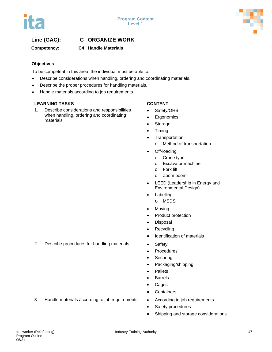

**Competency: C4 Handle Materials**

# **Objectives**

To be competent in this area, the individual must be able to:

- Describe considerations when handling, ordering and coordinating materials.
- Describe the proper procedures for handling materials.
- Handle materials according to job requirements.

# **LEARNING TASKS CONTENT**

1. Describe considerations and responsibilities when handling, ordering and coordinating materials

- Safety/OHS
- **Ergonomics**
- Storage
- Timing
- Transportation
	- o Method of transportation
- Off-loading
	- o Crane type
	- o Excavator machine
	- o Fork lift
	- o Zoom boom
- LEED (Leadership in Energy and Environmental Design)
- Labelling
	- o MSDS
- Moving
- Product protection
- Disposal
- Recycling
- Identification of materials
- 
- Procedures
- **Securing**
- Packaging/shipping
- **Pallets**
- **Barrels**
- Cages
- Containers
- 3. Handle materials according to job requirements According to job requirements
	- Safety procedures
	- Shipping and storage considerations

2. Describe procedures for handling materials • Safety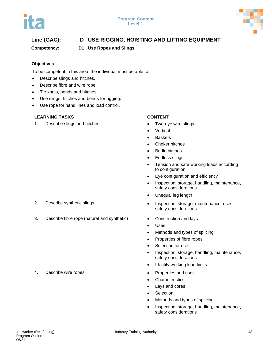

# **Line (GAC): D USE RIGGING, HOISTING AND LIFTING EQUIPMENT**

**Competency: D1 Use Ropes and Slings**

# **Objectives**

To be competent in this area, the individual must be able to:

- Describe slings and hitches.
- Describe fibre and wire rope.
- Tie knots, bends and hitches.
- Use slings, hitches and bends for rigging.
- Use rope for hand lines and load control.

# **LEARNING TASKS CONTENT**

1. Describe slings and hitches **•** Two-eye wire slings

- 
- **Vertical**
- **Baskets**
- Choker hitches
- **Bridle hitches**
- Endless slings
- Tension and safe working loads according to configuration
- Eye configuration and efficiency
- Inspection, storage, handling, maintenance, safety considerations
- Unequal leg length
- 2. Describe synthetic slings expansion of the synthetic slings of the synthetic slings of the synthesis, and the synthetic slings of the synthesis of the synthesis of the synthesis of the synthesis of the synthesis of the safety considerations
	-
	- Uses
	- Methods and types of splicing
	- Properties of fibre ropes
	- Selection for use
	- Inspection, storage, handling, maintenance, safety considerations
	- Identify working load limits
	-
	- **Characteristics**
	- Lays and cores
	- **Selection**
	- Methods and types of splicing
	- Inspection, storage, handling, maintenance, safety considerations
- 
- 3. Describe fibre rope (natural and synthetic) Construction and lays

# 4. Describe wire ropes **•** Properties and uses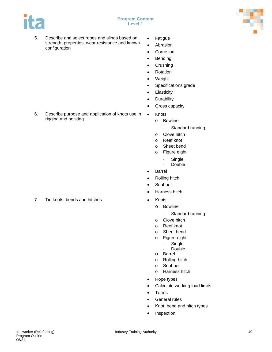



- 5. Describe and select ropes and slings based on strength, properties, wear resistance and known configuration
- Fatigue
- Abrasion
- Corrosion
- Bending
- Crushing
- Rotation
- **Weight**
- Specifications grade
- Elasticity

• Knots

- **Durability**
- Gross capacity
- rigging and hoisting
- 6. Describe purpose and application of knots use in
- o Bowline
	- Standard running
- o Clove hitch
- o Reef knot
- o Sheet bend
- o Figure eight
	- Single
	- Double
- **Barrel**
- Rolling hitch
- **Snubber**
- Harness hitch
- - o Bowline
		- Standard running
	- o Clove hitch
	- o Reef knot
	- o Sheet bend
	- o Figure eight
		- Single
		- **Double**
	- o Barrel
	- o Rolling hitch
	- o Snubber
	- o Harness hitch
- Rope types
- Calculate working load limits
- **Terms**
- General rules
- Knot, bend and hitch types
- **Inspection**

7 Tie knots, bends and hitches • Knots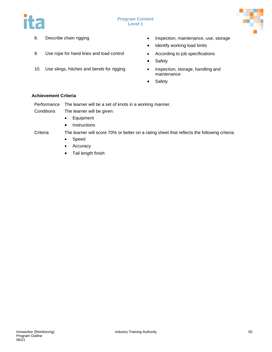



- 
- 9. Use rope for hand lines and load control According to job specifications
- 10. Use slings, hitches and bends for rigging Inspection, storage, handling and
- 8. Describe chain rigging extending the state of the second of the state of the state of the state of the state of the state of the state of the state of the state of the state of the state of the state of the state of the
	- Identify working load limits
	-
	- **Safety**
	- maintenance
	- Safety

Performance The learner will tie a set of knots in a working manner.

Conditions The learner will be given:

- Equipment
- Instructions

- Criteria The learner will score 70% or better on a rating sheet that reflects the following criteria:
	- Speed
	- Accuracy
	- Tail length finish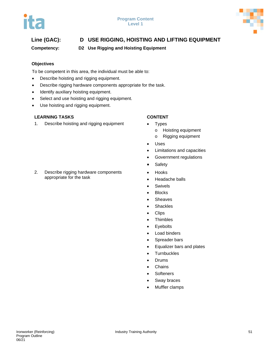

# **Line (GAC): D USE RIGGING, HOISTING AND LIFTING EQUIPMENT**

**Competency: D2 Use Rigging and Hoisting Equipment**

# **Objectives**

To be competent in this area, the individual must be able to:

- Describe hoisting and rigging equipment.
- Describe rigging hardware components appropriate for the task.
- Identify auxiliary hoisting equipment.
- Select and use hoisting and rigging equipment.
- Use hoisting and rigging equipment.

# **LEARNING TASKS CONTENT**

1. Describe hoisting and rigging equipment • Types

- - o Hoisting equipment
	- o Rigging equipment
- Uses
- Limitations and capacities
- Government regulations
- Safety
- Hooks
- Headache balls
- **Swivels**
- **Blocks**
- **Sheaves**
- **Shackles**
- Clips
- **Thimbles**
- Eyebolts
- **Load binders**
- Spreader bars
- Equalizer bars and plates
- **Turnbuckles**
- Drums
- **Chains**
- **Softeners**
- Sway braces
- Muffler clamps

2. Describe rigging hardware components appropriate for the task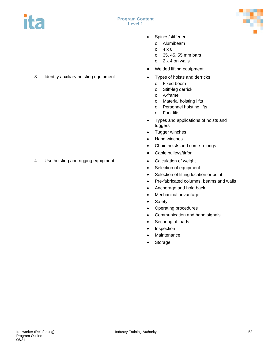# it s



- Spines/stiffener
	- o Alumibeam
	- $0.4 x 6$
	- o 35, 45, 55 mm bars
	- o 2 x 4 on walls
- Welded lifting equipment
- - o Fixed boom
	- o Stiff-leg derrick
	- o A-frame
	- o Material hoisting lifts
	- o Personnel hoisting lifts
	- o Fork lifts
- Types and applications of hoists and tuggers
- Tugger winches
- Hand winches
- Chain hoists and come-a-longs
- Cable pulleys/tirfor
- 
- Selection of equipment
- Selection of lifting location or point
- Pre-fabricated columns, beams and walls
- Anchorage and hold back
- Mechanical advantage
- **Safety**
- Operating procedures
- Communication and hand signals
- Securing of loads
- **Inspection**
- **Maintenance**
- **Storage**

3. Identify auxiliary hoisting equipment • Types of hoists and derricks

4. Use hoisting and rigging equipment • Calculation of weight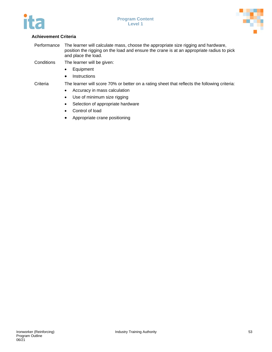



- Performance The learner will calculate mass, choose the appropriate size rigging and hardware, position the rigging on the load and ensure the crane is at an appropriate radius to pick and place the load.
- Conditions The learner will be given:
	- Equipment
	- Instructions
- 

Criteria The learner will score 70% or better on a rating sheet that reflects the following criteria:

- Accuracy in mass calculation
- Use of minimum size rigging
- Selection of appropriate hardware
- Control of load
- Appropriate crane positioning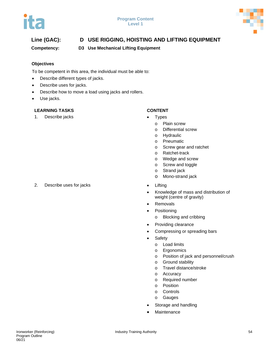

# **Line (GAC): D USE RIGGING, HOISTING AND LIFTING EQUIPMENT**

**Competency: D3 Use Mechanical Lifting Equipment**

# **Objectives**

To be competent in this area, the individual must be able to:

- Describe different types of jacks.
- Describe uses for jacks.
- Describe how to move a load using jacks and rollers.
- Use jacks.

# **LEARNING TASKS CONTENT**

1. Describe jacks **•** Types

- - o Plain screw
	- o Differential screw
	- o Hydraulic
	- o Pneumatic
	- o Screw gear and ratchet
	- o Ratchet-track
	- o Wedge and screw
	- o Screw and toggle
	- o Strand jack
	- o Mono-strand jack
- 2. Describe uses for jacks **•** Lifting
	- Knowledge of mass and distribution of weight (centre of gravity)
	- **Removals**
	- **Positioning** 
		- o Blocking and cribbing
	- Providing clearance
	- Compressing or spreading bars
	- **Safety** 
		- o Load limits
		- o Ergonomics
		- o Position of jack and personnel/crush
		- o Ground stability
		- o Travel distance/stroke
		- o Accuracy
		- o Required number
		- o Position
		- o Controls
		- o Gauges
	- Storage and handling
	- **Maintenance**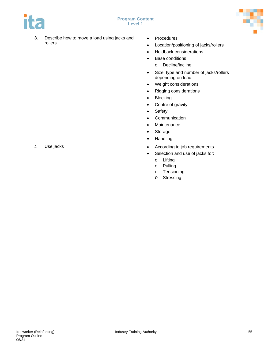



- 3. Describe how to move a load using jacks and rollers
- Procedures
- Location/positioning of jacks/rollers
- Holdback considerations
- Base conditions
	- o Decline/incline
- Size, type and number of jacks/rollers depending on load
- Weight considerations
- Rigging considerations
- Blocking
- Centre of gravity
- Safety
- **Communication**
- Maintenance
- Storage
- Handling
- 4. Use jacks  **According to job requirements** 
	- Selection and use of jacks for:
		- o Lifting
		- o Pulling
		- o Tensioning
		- o Stressing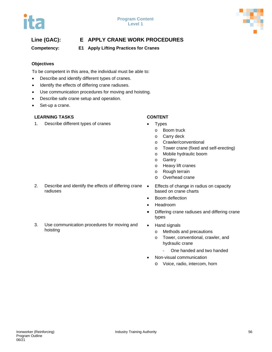

# **Line (GAC): E APPLY CRANE WORK PROCEDURES**

**Competency: E1 Apply Lifting Practices for Cranes**

# **Objectives**

To be competent in this area, the individual must be able to:

- Describe and identify different types of cranes.
- Identify the effects of differing crane radiuses.
- Use communication procedures for moving and hoisting.
- Describe safe crane setup and operation.
- Set-up a crane.

# **LEARNING TASKS CONTENT**

1. Describe different types of cranes • Types

- - o Boom truck
	- o Carry deck
	- o Crawler/conventional
	- o Tower crane (fixed and self-erecting)
	- o Mobile hydraulic boom
	- o Gantry
	- o Heavy lift cranes
	- o Rough terrain
	- o Overhead crane
- Effects of change in radius on capacity based on crane charts
	- Boom deflection
- Headroom
- Differing crane radiuses and differing crane types
- Hand signals
	- o Methods and precautions
	- o Tower, conventional, crawler, and hydraulic crane
		- One handed and two handed
- Non-visual communication
	- o Voice, radio, intercom, horn
- 2. Describe and identify the effects of differing crane radiuses
- 3. Use communication procedures for moving and hoisting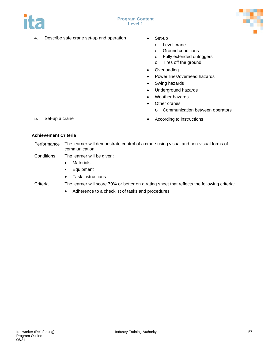



- 4. Describe safe crane set-up and operation Set-up
	- - o Level crane
		- o Ground conditions
		- o Fully extended outriggers
		- o Tires off the ground
	- Overloading
	- Power lines/overhead hazards
	- Swing hazards
	- Underground hazards
	- Weather hazards
	- **Other cranes** 
		- o Communication between operators
- 5. Set-up a crane **6. Set-up** a crane **1.1.** Set-up a crane **1.1.** Set-up a crane 1.1. Set-up and 1.1. Set-up a crane 1.1. Set-up a crane 1.1. Set-up a crane 1.1. Set-up a crane 1.1. Set-up a crane 1.1. Set-up a crane 1.1.

- Performance The learner will demonstrate control of a crane using visual and non-visual forms of communication.
- Conditions The learner will be given:
	- Materials
	- Equipment
	- Task instructions

- Criteria The learner will score 70% or better on a rating sheet that reflects the following criteria:
	- Adherence to a checklist of tasks and procedures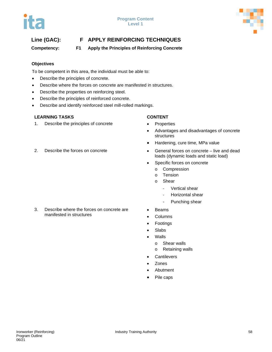

# **Line (GAC): F APPLY REINFORCING TECHNIQUES**

**Competency: F1 Apply the Principles of Reinforcing Concrete**

# **Objectives**

To be competent in this area, the individual must be able to:

- Describe the principles of concrete.
- Describe where the forces on concrete are manifested in structures.
- Describe the properties on reinforcing steel.
- Describe the principles of reinforced concrete.
- Describe and identify reinforced steel mill-rolled markings.

# **LEARNING TASKS CONTENT**

1. Describe the principles of concrete **•** Properties

- 
- Advantages and disadvantages of concrete structures
- Hardening, cure time, MPa value
- 2. Describe the forces on concrete General forces on concrete live and dead loads (dynamic loads and static load)
	- Specific forces on concrete
		- o Compression
		- o Tension
		- o Shear
			- Vertical shear
			- Horizontal shear
			- Punching shear
	- Beams
	- Columns
	- Footings
	- **Slabs**
	- **Walls** 
		- o Shear walls
		- o Retaining walls
	- **Cantilevers**
	- **Zones**
	- Abutment
	- Pile caps

3. Describe where the forces on concrete are

manifested in structures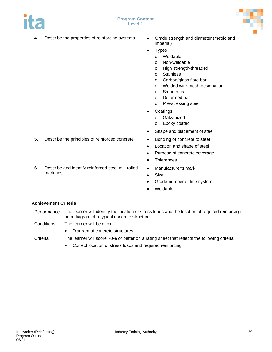



- 4. Describe the properties of reinforcing systems Grade strength and diameter (metric and
- imperial)
	- **Types** 
		- o Weldable
		- o Non-weldable
		- o High strength-threaded
		- o Stainless
		- o Carbon/glass fibre bar
		- o Welded wire mesh-designation
		- o Smooth bar
		- o Deformed bar
		- o Pre-stressing steel
	- **Coatings** 
		- o Galvanized
		- o Epoxy coated
	- Shape and placement of steel
	-
	- Location and shape of steel
	- Purpose of concrete coverage
	- Tolerances
	- Manufacturer's mark
	- Size
	- Grade-number or line system
	- **Weldable**

# 5. Describe the principles of reinforced concrete • Bonding of concrete to steel

6. Describe and identify reinforced steel mill-rolled

- markings
- **Achievement Criteria**
- Performance The learner will identify the location of stress loads and the location of required reinforcing on a diagram of a typical concrete structure.
- Conditions The learner will be given:
	- Diagram of concrete structures
- Criteria The learner will score 70% or better on a rating sheet that reflects the following criteria:
	- Correct location of stress loads and required reinforcing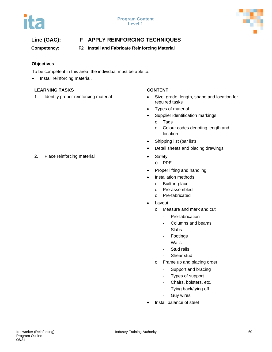

# **Line (GAC): F APPLY REINFORCING TECHNIQUES**

**Competency: F2 Install and Fabricate Reinforcing Material**

# **Objectives**

To be competent in this area, the individual must be able to:

• Install reinforcing material.

# **LEARNING TASKS CONTENT**

- 1. Identify proper reinforcing material Size, grade, length, shape and location for required tasks
	- Types of material
	- Supplier identification markings
		- o Tags
		- o Colour codes denoting length and location
	- Shipping list (bar list)
	- Detail sheets and placing drawings
	- - o PPE
	- Proper lifting and handling
	- Installation methods
		- o Built-in-place
		- o Pre-assembled
		- o Pre-fabricated
	- **Layout** 
		- o Measure and mark and cut
			- Pre-fabrication
			- Columns and beams
			- Slabs
			- Footings
			- Walls
			- Stud rails
			- Shear stud
		- o Frame up and placing order
			- Support and bracing
			- Types of support
			- Chairs, bolsters, etc.
			- Tying back/tying off
			- Guy wires
	- Install balance of steel

### 2. Place reinforcing material • Safety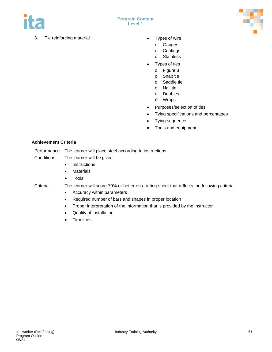



- 3. Tie reinforcing material **•** Types of wire
	- - o Gauges
		- o Coatings
		- o Stainless
	- Types of ties
		- o Figure 8
		- o Snap tie
		- o Saddle tie
		- o Nail tie
		- o Doubles
		- o Wraps
	- Purposes/selection of ties
	- Tying specifications and percentages
	- Tying sequence
	- Tools and equipment

Performance The learner will place steel according to instructions.

Conditions The learner will be given:

- Instructions
- Materials
- Tools

Criteria The learner will score 70% or better on a rating sheet that reflects the following criteria:

- Accuracy within parameters
- Required number of bars and shapes in proper location
- Proper interpretation of the information that is provided by the instructor
- Quality of installation
- Timelines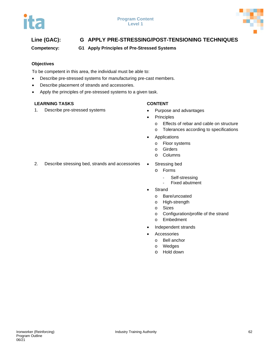

# **Line (GAC): G APPLY PRE-STRESSING/POST-TENSIONING TECHNIQUES**

**Competency: G1 Apply Principles of Pre-Stressed Systems**

# **Objectives**

To be competent in this area, the individual must be able to:

- Describe pre-stressed systems for manufacturing pre-cast members.
- Describe placement of strands and accessories.
- Apply the principles of pre-stressed systems to a given task.

# **LEARNING TASKS CONTENT**

1. Describe pre-stressed systems **•** Purpose and advantages

- 
- **Principles** 
	- o Effects of rebar and cable on structure
	- o Tolerances according to specifications
- **Applications** 
	- o Floor systems
	- o Girders
	- o Columns
- 2. Describe stressing bed, strands and accessories Stressing bed
	- - o Forms
			- Self-stressing
			- Fixed abutment
	- Strand
		- o Bare/uncoated
		- o High-strength
		- o Sizes
		- o Configuration/profile of the strand
		- o Embedment
	- Independent strands
	- **Accessories** 
		- o Bell anchor
		- o Wedges
		- o Hold down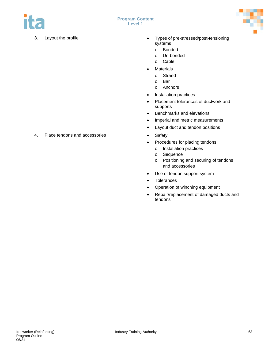



- 
- 3. Layout the profile **EXEC 10** CH is a set of pre-stressed/post-tensioning systems
	- o Bonded
	- o Un-bonded
	- o Cable
	- **Materials** 
		- o Strand
		- o Bar
		- o Anchors
	- Installation practices
	- Placement tolerances of ductwork and supports
	- Benchmarks and elevations
	- Imperial and metric measurements
	- Layout duct and tendon positions
	-
	- Procedures for placing tendons
		- o Installation practices
		- o Sequence
		- o Positioning and securing of tendons and accessories
	- Use of tendon support system
	- **Tolerances**
	- Operation of winching equipment
	- Repair/replacement of damaged ducts and tendons

4. Place tendons and accessories • Safety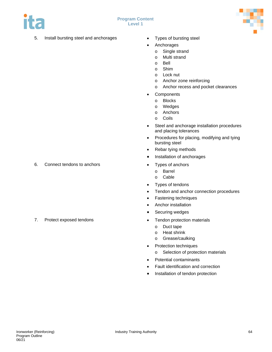



- 5. Install bursting steel and anchorages Types of bursting steel
	-
	- Anchorages
		- o Single strand
		- o Multi strand
		- o Bell
		- o Shim
		- o Lock nut
		- o Anchor zone reinforcing
		- o Anchor recess and pocket clearances
	- **Components** 
		- o Blocks
		- o Wedges
		- o Anchors
		- o Coils
	- Steel and anchorage installation procedures and placing tolerances
	- Procedures for placing, modifying and tying bursting steel
	- Rebar tying methods
	- Installation of anchorages
	- - o Barrel
		- o Cable
	- Types of tendons
	- Tendon and anchor connection procedures
	- Fastening techniques
	- Anchor installation
	- Securing wedges
- 7. Protect exposed tendons **•** Tendon protection materials
	- o Duct tape
	- o Heat shrink
	- o Grease/caulking
	- Protection techniques
		- o Selection of protection materials
	- Potential contaminants
	- Fault identification and correction
	- Installation of tendon protection

6. Connect tendons to anchors **•** Types of anchors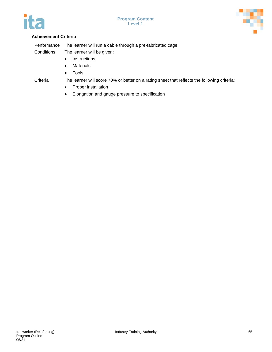



Performance The learner will run a cable through a pre-fabricated cage.

Conditions The learner will be given:

- Instructions
- Materials
- Tools

Criteria The learner will score 70% or better on a rating sheet that reflects the following criteria:

- Proper installation
- Elongation and gauge pressure to specification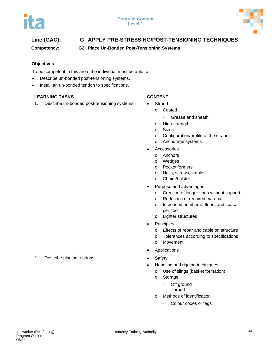

# **Line (GAC): G APPLY PRE-STRESSING/POST-TENSIONING TECHNIQUES**

# **Competency: G2 Place Un-Bonded Post-Tensioning Systems**

# **Objectives**

To be competent in this area, the individual must be able to:

- Describe un-bonded post-tensioning systems.
- Install an un-bonded tendon to specifications.

# **LEARNING TASKS CONTENT**

1. Describe un-bonded post-tensioning systems • Strand

- - o Coated
		- Grease and sheath
	- o High-strength
	- o Sizes
	- o Configuration/profile of the strand
	- o Anchorage systems
- **Accessories** 
	- o Anchors
	- o Wedges
	- o Pocket formers
	- o Nails, screws, staples
	- o Chairs/bolster
- Purpose and advantages
	- o Creation of longer span without support
	- o Reduction of required material
	- o Increased number of floors and space per floor
	- o Lighter structures
- **Principles** 
	- o Effects of rebar and cable on structure
	- o Tolerances according to specifications
	- o Movement
- **Applications**
- 
- Handling and rigging techniques
	- o Use of slings (basket formation)
	- o Storage
		- Off ground
		- Tarped
	- o Methods of identification
		- Colour codes or tags

2. Describe placing tendons **•** Safety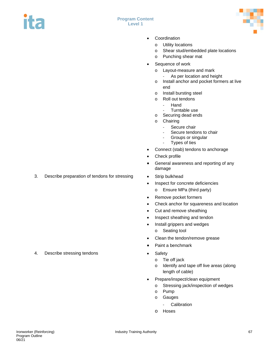



- Coordination
	- o Utility locations
	- o Shear stud/embedded plate locations
	- o Punching shear mat
- Sequence of work
	- o Layout-measure and mark
		- As per location and height
	- o Install anchor and pocket formers at live end
	- o Install bursting steel
	- o Roll out tendons
		- Hand
		- Turntable use
	- o Securing dead ends
	- o Chairing
		- Secure chair
		- Secure tendons to chair
		- Groups or singular
		- Types of ties
- Connect (stab) tendons to anchorage
- Check profile
- General awareness and reporting of any damage
- 
- Inspect for concrete deficiencies
	- o Ensure MPa (third party)
- Remove pocket formers
- Check anchor for squareness and location
- Cut and remove sheathing
- Inspect sheathing and tendon
- Install grippers and wedges
	- o Seating tool
- Clean the tendon/remove grease
- Paint a benchmark
- - o Tie off jack
	- o Identify and tape off live areas (along length of cable)
- Prepare/inspect/clean equipment
	- o Stressing jack/inspection of wedges
	- o Pump
	- o Gauges
		- Calibration
	- o Hoses

3. Describe preparation of tendons for stressing • Strip bulkhead

4. Describe stressing tendons • Safety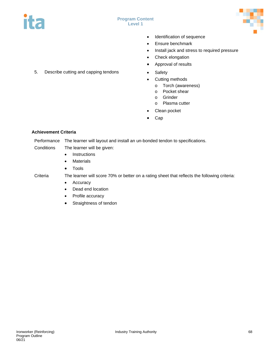





- Identification of sequence
- Ensure benchmark
- Install jack and stress to required pressure
- Check elongation
- Approval of results
- 5. Describe cutting and capping tendons Safety
	- Cutting methods
		- o Torch (awareness)
		- o Pocket shear
		- o Grinder
		- o Plasma cutter
	- Clean pocket
	- Cap

Performance The learner will layout and install an un-bonded tendon to specifications.

Conditions The learner will be given:

- Instructions
- Materials
- Tools

Criteria The learner will score 70% or better on a rating sheet that reflects the following criteria:

- Accuracy
- Dead end location
- Profile accuracy
- Straightness of tendon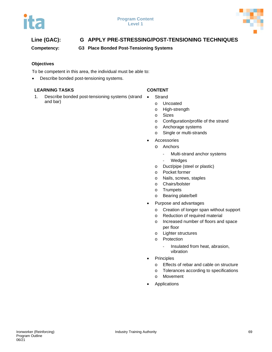

# **Line (GAC): G APPLY PRE-STRESSING/POST-TENSIONING TECHNIQUES**

**Competency: G3 Place Bonded Post-Tensioning Systems**

# **Objectives**

To be competent in this area, the individual must be able to:

• Describe bonded post-tensioning systems.

# **LEARNING TASKS CONTENT**

1. Describe bonded post-tensioning systems (strand . and bar)

- **Strand** 
	- o Uncoated
	- o High-strength
	- o Sizes
	- o Configuration/profile of the strand
	- o Anchorage systems
	- o Single or multi-strands
- **Accessories** 
	- o Anchors
		- Multi-strand anchor systems
		- Wedges
	- o Duct/pipe (steel or plastic)
	- o Pocket former
	- o Nails, screws, staples
	- o Chairs/bolster
	- o Trumpets
	- o Bearing plate/bell
- Purpose and advantages
	- o Creation of longer span without support
	- o Reduction of required material
	- o Increased number of floors and space per floor
	- o Lighter structures
	- o Protection
		- Insulated from heat, abrasion, vibration
- Principles
	- o Effects of rebar and cable on structure
	- o Tolerances according to specifications
	- o Movement
- **Applications**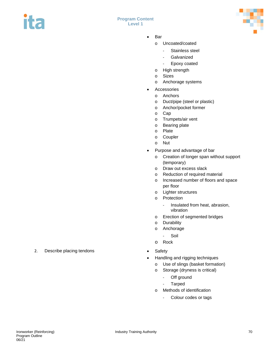

# **Program Content Level 1**



- Bar
	- o Uncoated/coated
		- Stainless steel
		- Galvanized
		- Epoxy coated
	- o High strength
	- o Sizes
	- o Anchorage systems
- **Accessories** 
	- o Anchors
	- o Duct/pipe (steel or plastic)
	- o Anchor/pocket former
	- o Cap
	- o Trumpets/air vent
	- o Bearing plate
	- o Plate
	- o Coupler
	- o Nut
- Purpose and advantage of bar
	- o Creation of longer span without support (temporary)
	- o Draw out excess slack
	- o Reduction of required material
	- o Increased number of floors and space per floor
	- o Lighter structures
	- o Protection
		- Insulated from heat, abrasion, vibration
	- o Erection of segmented bridges
	- o Durability
	- o Anchorage
		- Soil
	- o Rock
- 
- Handling and rigging techniques
	- o Use of slings (basket formation)
	- o Storage (dryness is critical)
		- Off ground
		- Tarped
	- o Methods of identification
		- Colour codes or tags

2. Describe placing tendons **•** Safety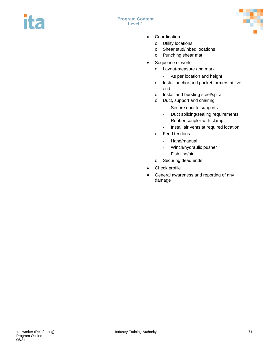



- Coordination
	- o Utility locations
	- o Shear stud/inbed locations
	- o Punching shear mat
- Sequence of work
	- o Layout-measure and mark
		- As per location and height
	- o Install anchor and pocket formers at live end
	- o Install and bursting steel/spiral
	- o Duct, support and chairing
		- Secure duct to supports
		- Duct splicing/sealing requirements
		- Rubber coupler with clamp
		- Install air vents at required location
	- o Feed tendons
		- Hand/manual
		- Winch/hydraulic pusher
		- Fish line/air
	- o Securing dead ends
- Check profile
- General awareness and reporting of any damage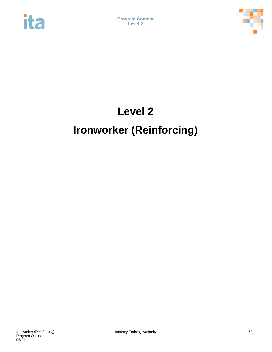



# **Level 2**

# **Ironworker (Reinforcing)**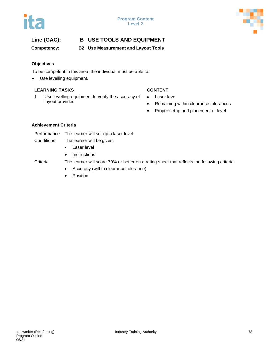

# **Line (GAC): B USE TOOLS AND EQUIPMENT**

**Competency: B2 Use Measurement and Layout Tools**

#### **Objectives**

To be competent in this area, the individual must be able to:

• Use levelling equipment.

#### **LEARNING TASKS CONTENT**

1. Use levelling equipment to verify the accuracy of layout provided

- Laser level
- Remaining within clearance tolerances
- Proper setup and placement of level

#### **Achievement Criteria**

Performance The learner will set-up a laser level.

- Conditions The learner will be given:
	- Laser level
	- Instructions

- Criteria The learner will score 70% or better on a rating sheet that reflects the following criteria:
	- Accuracy (within clearance tolerance)
	- Position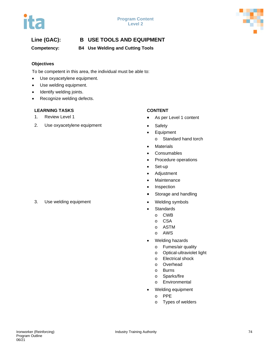

## **Line (GAC): B USE TOOLS AND EQUIPMENT**

**Competency: B4 Use Welding and Cutting Tools**

### **Objectives**

To be competent in this area, the individual must be able to:

- Use oxyacetylene equipment.
- Use welding equipment.
- Identify welding joints.
- Recognize welding defects.

### **LEARNING TASKS CONTENT**

- 
- 2. Use oxyacetylene equipment Safety

- 1. Review Level 1 **As per Level 1 As per Level 1 content** 
	-
	- Equipment
		- o Standard hand torch
	- **Materials**
	- Consumables
	- Procedure operations
	- Set-up
	- Adjustment
	- Maintenance
	- Inspection
	- Storage and handling
	-
	- **Standards** 
		- o CWB
		- o CSA
		- o ASTM
		- o AWS
	- Welding hazards
		- o Fumes/air quality
		- o Optical-ultraviolet light
		- o Electrical shock
		- o Overhead
		- o Burns
		- o Sparks/fire
		- o Environmental
	- Welding equipment
		- o PPE
		- o Types of welders

## 3. Use welding equipment **•** Welding symbols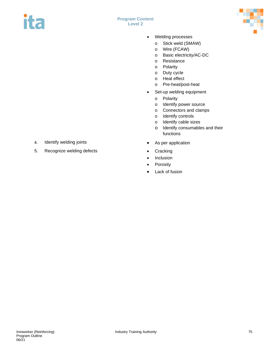



- Welding processes
	- o Stick weld (SMAW)
	- o Wire (FCAW)
	- o Basic electricity/AC-DC
	- o Resistance
	- o Polarity
	- o Duty cycle
	- o Heat effect
	- o Pre-heat/post-heat
- Set-up welding equipment
	- o Polarity
	- o Identify power source
	- o Connectors and clamps
	- o Identify controls
	- o Identify cable sizes
	- o Identify consumables and their functions
- 
- 
- Inclusion
- **Porosity**
- Lack of fusion
- 4. Identify welding joints **and the set of the set of the set of the set of the set of the set of the set of the set of the set of the set of the set of the set of the set of the set of the set of the set of the set of the**
- 5. Recognize welding defects **•** Cracking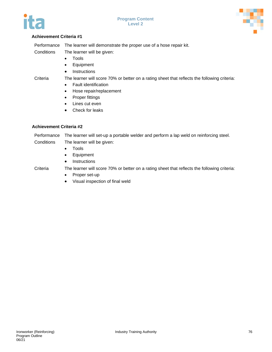



### **Achievement Criteria #1**

Performance The learner will demonstrate the proper use of a hose repair kit.

Conditions The learner will be given:

- Tools
- Equipment
- Instructions

Criteria The learner will score 70% or better on a rating sheet that reflects the following criteria:

- Fault identification
- Hose repair/replacement
- Proper fittings
- Lines cut even
- Check for leaks

#### **Achievement Criteria #2**

Performance The learner will set-up a portable welder and perform a lap weld on reinforcing steel.

| Conditions | The learner will be given: |  |  |
|------------|----------------------------|--|--|
|            |                            |  |  |

- Tools
- Equipment
- Instructions

- Criteria The learner will score 70% or better on a rating sheet that reflects the following criteria:
	- Proper set-up
	- Visual inspection of final weld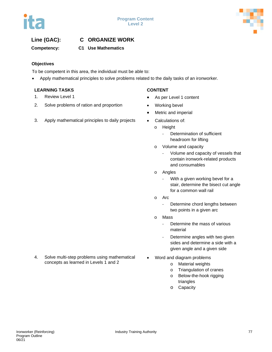

## **Line (GAC): C ORGANIZE WORK**

**Competency: C1 Use Mathematics**

### **Objectives**

To be competent in this area, the individual must be able to:

• Apply mathematical principles to solve problems related to the daily tasks of an ironworker.

## **LEARNING TASKS CONTENT**

- 
- 2. Solve problems of ration and proportion Working bevel
- 3. Apply mathematical principles to daily projects Calculations of:

- 1. Review Level 1 **As per Level 1 As per Level 1 content** 
	-
	- Metric and imperial
	- - o Height
			- Determination of sufficient headroom for lifting
		- o Volume and capacity
			- Volume and capacity of vessels that contain ironwork-related products and consumables
		- o Angles
			- With a given working bevel for a stair, determine the bisect cut angle for a common wall rail
		- o Arc
			- Determine chord lengths between two points in a given arc
		- o Mass
			- Determine the mass of various material
			- Determine angles with two given sides and determine a side with a given angle and a given side
	- Word and diagram problems
		- o Material weights
		- o Triangulation of cranes
		- o Below-the-hook rigging triangles
		- o Capacity

4. Solve multi-step problems using mathematical concepts as learned in Levels 1 and 2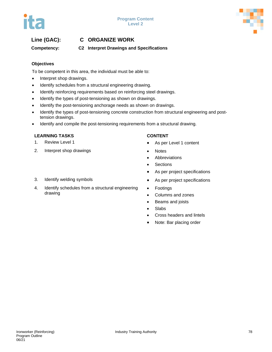## **Line (GAC): C ORGANIZE WORK**

**Competency: C2 Interpret Drawings and Specifications**

#### **Objectives**

To be competent in this area, the individual must be able to:

- Interpret shop drawings.
- Identify schedules from a structural engineering drawing.
- Identify reinforcing requirements based on reinforcing steel drawings.
- Identify the types of post-tensioning as shown on drawings.

4. Identify schedules from a structural engineering

- Identify the post-tensioning anchorage needs as shown on drawings.
- Identify the types of post-tensioning concrete construction from structural engineering and posttension drawings.
- Identify and compile the post-tensioning requirements from a structural drawing.

#### **LEARNING TASKS CONTENT**

drawing

2. Interpret shop drawings **•** Notes

- 1. Review Level 1 **Figure 1 Figure 1 Figure 1 CONTENT CONTENT 6 As per Level 1 content** 
	-
	- Abbreviations
	- **Sections**
	- As per project specifications
- 3. Identify welding symbols **because that the set of the set of the S** As per project specifications
	- Footings
	- Columns and zones
	- Beams and joists
	- Slabs
	- Cross headers and lintels
	- Note: Bar placing order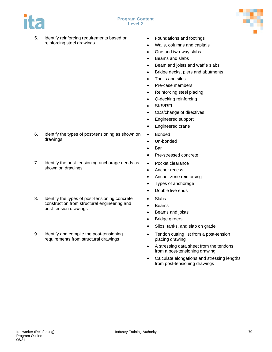- 5. Identify reinforcing requirements based on reinforcing steel drawings
- Foundations and footings
- Walls, columns and capitals
- One and two-way slabs
- Beams and slabs
- Beam and joists and waffle slabs
- Bridge decks, piers and abutments
- Tanks and silos
- Pre-case members
- Reinforcing steel placing
- Q-decking reinforcing
- SKS/RFI
- CDs/change of directives
- Engineered support
- Engineered crane
- Bonded
- Un-bonded
- Bar
- Pre-stressed concrete
- Pocket clearance
- Anchor recess
- Anchor zone reinforcing
- Types of anchorage
- Double live ends
- Slabs
- Beams
- Beams and joists
- Bridge girders
- Silos, tanks, and slab on grade
- Tendon cutting list from a post-tension placing drawing
- A stressing data sheet from the tendons from a post-tensioning drawing
- Calculate elongations and stressing lengths from post-tensioning drawings





- 6. Identify the types of post-tensioning as shown on drawings
- 7. Identify the post-tensioning anchorage needs as shown on drawings
- 8. Identify the types of post-tensioning concrete construction from structural engineering and post-tension drawings
- 9. Identify and compile the post-tensioning requirements from structural drawings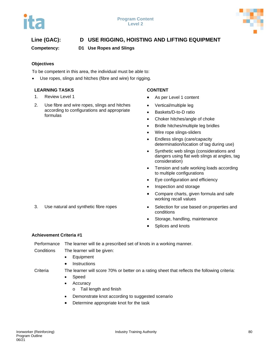

## **Line (GAC): D USE RIGGING, HOISTING AND LIFTING EQUIPMENT**

**Competency: D1 Use Ropes and Slings**

#### **Objectives**

To be competent in this area, the individual must be able to:

Use ropes, slings and hitches (fibre and wire) for rigging.

### **LEARNING TASKS CONTENT**

- 
- 2. Use fibre and wire ropes, slings and hitches according to configurations and appropriate formulas

- 1. Review Level 1 **As per Level 1 As per Level 1 content** 
	- Vertical/multiple leg
	- Baskets/D-to-D ratio
	- Choker hitches/angle of choke
	- Bridle hitches/multiple leg bridles
	- Wire rope slings-sliders
	- Endless slings (care/capacity determination/location of tag during use)
	- Synthetic web slings (considerations and dangers using flat web slings at angles, tag consideration)
	- Tension and safe working loads according to multiple configurations
	- Eye configuration and efficiency
	- Inspection and storage
	- Compare charts, given formula and safe working recall values
- 3. Use natural and synthetic fibre ropes Selection for use based on properties and conditions
	- Storage, handling, maintenance
	- Splices and knots

#### **Achievement Criteria #1**

Performance The learner will tie a prescribed set of knots in a working manner.

Conditions The learner will be given:

- Equipment
- **Instructions**

- 
- Criteria The learner will score 70% or better on a rating sheet that reflects the following criteria:
	- **Speed** 
		- Accuracy
			- o Tail length and finish
		- Demonstrate knot according to suggested scenario
		- Determine appropriate knot for the task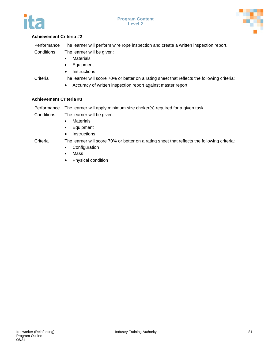



### **Achievement Criteria #2**

Performance The learner will perform wire rope inspection and create a written inspection report.

- Conditions The learner will be given:
	- Materials
	- Equipment
	- Instructions

Criteria The learner will score 70% or better on a rating sheet that reflects the following criteria:

• Accuracy of written inspection report against master report

#### **Achievement Criteria #3**

Performance The learner will apply minimum size choker(s) required for a given task.

Conditions The learner will be given:

- Materials
- Equipment
- Instructions

Criteria The learner will score 70% or better on a rating sheet that reflects the following criteria:

- Configuration
- Mass
- Physical condition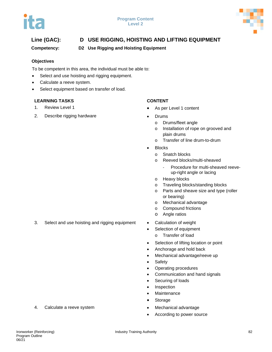

# **Line (GAC): D USE RIGGING, HOISTING AND LIFTING EQUIPMENT**

## **Competency: D2 Use Rigging and Hoisting Equipment**

### **Objectives**

To be competent in this area, the individual must be able to:

- Select and use hoisting and rigging equipment.
- Calculate a reeve system.
- Select equipment based on transfer of load.

### **LEARNING TASKS CONTENT**

- 
- 2. Describe rigging hardware **•** Drums

- 1. Review Level 1 **As per Level 1 As per Level 1 content** 
	- - o Drums/fleet angle
		- o Installation of rope on grooved and plain drums
		- o Transfer of line drum-to-drum
	- Blocks
		- o Snatch blocks
		- o Reeved blocks/multi-sheaved
			- Procedure for multi-sheaved reeveup-right angle or lacing
		- o Heavy blocks
		- o Traveling blocks/standing blocks
		- o Parts and sheave size and type (roller or bearing)
		- o Mechanical advantage
		- o Compound frictions
		- o Angle ratios
- 3. Select and use hoisting and rigging equipment Calculation of weight
	- Selection of equipment
		- o Transfer of load
	- Selection of lifting location or point
	- Anchorage and hold back
	- Mechanical advantage/reeve up
	- **Safety**
	- Operating procedures
	- Communication and hand signals
	- Securing of loads
	- **Inspection**
	- **Maintenance**
	- **Storage**
	-
	- According to power source
- 4. Calculate a reeve system **•** Mechanical advantage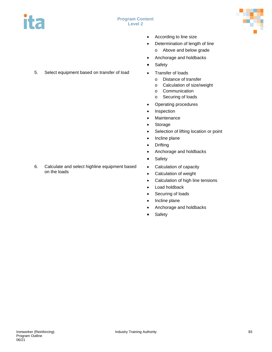# it -



- According to line size
- Determination of length of line o Above and below grade
- Anchorage and holdbacks
- **Safety**
- - o Distance of transfer
	- o Calculation of size/weight
	- o Communication
	- o Securing of loads
- Operating procedures
- **Inspection**
- **Maintenance**
- Storage
- Selection of lifting location or point
- Incline plane
- **Drifting**
- Anchorage and holdbacks
- **Safety**
- Calculation of capacity
- Calculation of weight
- Calculation of high line tensions
- Load holdback
- Securing of loads
- Incline plane
- Anchorage and holdbacks
- **Safety**

5. Select equipment based on transfer of load • Transfer of loads

6. Calculate and select highline equipment based

on the loads

06/21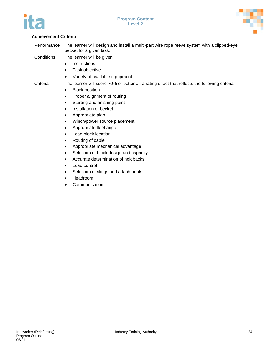



## **Achievement Criteria**

Performance The learner will design and install a multi-part wire rope reeve system with a clipped-eye becket for a given task.

Conditions The learner will be given:

- Instructions
- Task objective
- Variety of available equipment

Criteria The learner will score 70% or better on a rating sheet that reflects the following criteria:

- Block position
- Proper alignment of routing
- Starting and finishing point
- Installation of becket
- Appropriate plan
- Winch/power source placement
- Appropriate fleet angle
- Lead block location
- Routing of cable
- Appropriate mechanical advantage
- Selection of block design and capacity
- Accurate determination of holdbacks
- Load control
- Selection of slings and attachments
- Headroom
- Communication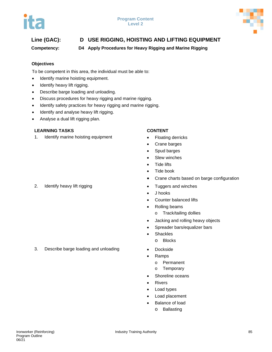

# **Line (GAC): D USE RIGGING, HOISTING AND LIFTING EQUIPMENT**

## **Competency: D4 Apply Procedures for Heavy Rigging and Marine Rigging**

#### **Objectives**

To be competent in this area, the individual must be able to:

- Identify marine hoisting equipment.
- Identify heavy lift rigging.
- Describe barge loading and unloading.
- Discuss procedures for heavy rigging and marine rigging.
- Identify safety practices for heavy rigging and marine rigging.
- Identify and analyse heavy lift rigging.
- Analyse a dual lift rigging plan.

## **LEARNING TASKS CONTENT**

1. Identify marine hoisting equipment • Floating derricks

- 
- Crane barges
- Spud barges
- Slew winches
- **Tide lifts**
- Tide book
- Crane charts based on barge configuration
- 
- J hooks
- Counter balanced lifts
- Rolling beams
	- o Track/tailing dollies
- Jacking and rolling heavy objects
- Spreader bars/equalizer bars
- **Shackles** o Blocks
- 
- 3. Describe barge loading and unloading **•** Dockside
	- Ramps
		- o Permanent
		- o Temporary
	- Shoreline oceans
	- **Rivers**
	- Load types
	- Load placement
	- Balance of load
		- o Ballasting

2. Identify heavy lift rigging example and winches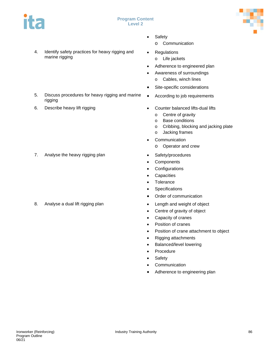

#### **Program Content Level 2**



- Safety
	- o Communication
- **Regulations** 
	- o Life jackets
	- Adherence to engineered plan
	- Awareness of surroundings o Cables, winch lines
	- Site-specific considerations
- 5. Discuss procedures for heavy rigging and marine According to job requirements rigging
- 6. Describe heavy lift rigging example  $\bullet$  Counter balanced lifts-dual lifts
	- o Centre of gravity
	- o Base conditions
	- o Cribbing, blocking and jacking plate
	- o Jacking frames
	- **Communication** 
		- o Operator and crew
	-
	- **Components**
	- **Configurations**
	- Capacities
	- **Tolerance**
	- **Specifications**
	- Order of communication
	-
	- Centre of gravity of object
	- Capacity of cranes
	- Position of cranes
	- Position of crane attachment to object
	- Rigging attachments
	- Balanced/level lowering
	- **Procedure**
	- **Safety**
	- **Communication**
	- Adherence to engineering plan

7. Analyse the heavy rigging plan **•** Safety/procedures

4. Identify safety practices for heavy rigging and

marine rigging

8. Analyse a dual lift rigging plan **•** Length and weight of object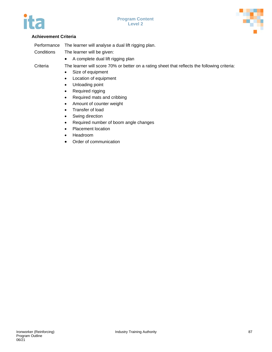



#### **Achievement Criteria**

|  |  | Performance The learner will analyse a dual lift rigging plan. |
|--|--|----------------------------------------------------------------|
|--|--|----------------------------------------------------------------|

- Conditions The learner will be given:
	- A complete dual lift rigging plan

Criteria The learner will score 70% or better on a rating sheet that reflects the following criteria:

- Size of equipment
- Location of equipment
- Unloading point
- Required rigging
- Required mats and cribbing
- Amount of counter weight
- Transfer of load
- Swing direction
- Required number of boom angle changes
- Placement location
- Headroom
- Order of communication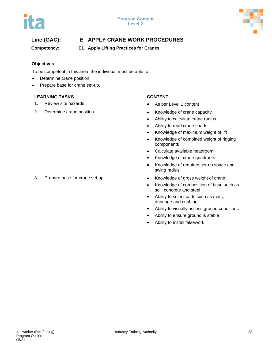

## **Line (GAC): E APPLY CRANE WORK PROCEDURES**

**Competency: E1 Apply Lifting Practices for Cranes**

#### **Objectives**

To be competent in this area, the individual must be able to:

- Determine crane position.
- Prepare base for crane set-up.

#### **LEARNING TASKS CONTENT**

- 
- 

- 1. Review site hazards **by a struck of the set of the Review site hazards •** As per Level 1 content
- 2. Determine crane position **•** Knowledge of crane capacity
	- Ability to calculate crane radius
	- Ability to read crane charts
	- Knowledge of maximum weight of lift
	- Knowledge of combined weight of rigging components
	- Calculate available headroom
	- Knowledge of crane quadrants
	- Knowledge of required set-up space and swing radius
- 3. Prepare base for crane set-up Knowledge of gross weight of crane
	- Knowledge of composition of base such as soil, concrete and steel
	- Ability to select pads such as mats, dunnage and cribbing
	- Ability to visually assess ground conditions
	- Ability to ensure ground is stable
	- Ability to install falsework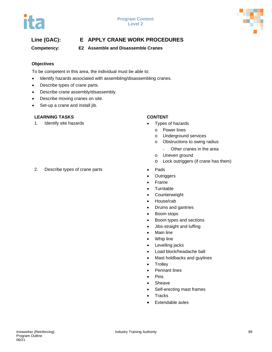

## **Line (GAC): E APPLY CRANE WORK PROCEDURES**

## **Competency: E2 Assemble and Disassemble Cranes**

#### **Objectives**

To be competent in this area, the individual must be able to:

- Identify hazards associated with assembling/disassembling cranes.
- Describe types of crane parts.
- Describe crane assembly/disassembly.
- Describe moving cranes on site.
- Set-up a crane and install jib.

#### **LEARNING TASKS CONTENT**

1. Identify site hazards **•** Types of hazards

- - o Power lines
	- o Underground services
	- o Obstructions to swing radius
		- Other cranes in the area
	- o Uneven ground
	- o Lock outriggers (if crane has them)
- 2. Describe types of crane parts Pads
	- **Outriggers**
	- Frame
	- **Turntable**
	- **Counterweight**
	- House/cab
	- Drums and gantries
	- Boom stops
	- Boom types and sections
	- Jibs-straight and luffing
	- Main line
	- Whip line
	- Levelling jacks
	- Load block/headache ball
	- Mast holdbacks and guylines
	- **Trolley**
	- Pennant lines
	- Pins
	- **Sheave**
	- Self-erecting mast frames
	- **Tracks**
	- Extendable axles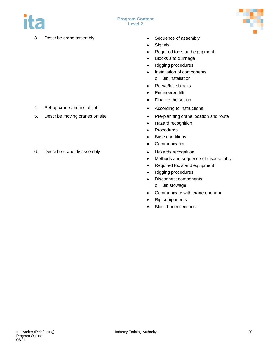



- 3. Describe crane assembly **Example 20** Sequence of assembly
	-
	- Signals
	- Required tools and equipment
	- Blocks and dunnage
	- Rigging procedures
	- Installation of components
		- o Jib installation
	- Reeve/lace blocks
	- Engineered lifts
	- Finalize the set-up
- 4. Set-up crane and install job **•** According to instructions
- 5. Describe moving cranes on site **•** Pre-planning crane location and route
	- Hazard recognition
	- **Procedures**
	- Base conditions
	- Communication
	-
	- Methods and sequence of disassembly
	- Required tools and equipment
	- Rigging procedures
	- Disconnect components
		- o Jib stowage
	- Communicate with crane operator
	- Rig components
	- Block boom sections
- 
- 
- 6. Describe crane disassembly Hazards recognition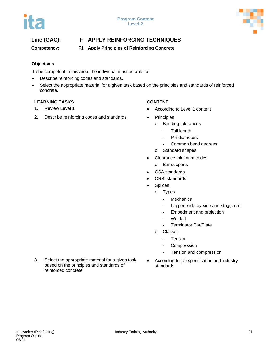

# **Line (GAC): F APPLY REINFORCING TECHNIQUES**

**Competency: F1 Apply Principles of Reinforcing Concrete**

#### **Objectives**

To be competent in this area, the individual must be able to:

- Describe reinforcing codes and standards.
- Select the appropriate material for a given task based on the principles and standards of reinforced concrete.

#### **LEARNING TASKS CONTENT**

- 
- 2. Describe reinforcing codes and standards Principles

- 1. Review Level 1 According to Level 1 content
	- - o Bending tolerances
			- Tail length
			- Pin diameters
			- Common bend degrees
		- o Standard shapes
	- Clearance minimum codes
		- o Bar supports
	- CSA standards
	- CRSI standards
	- **Splices** 
		- o Types
			- Mechanical
			- Lapped-side-by-side and staggered
			- Embedment and projection
			- **Welded**
			- Terminator Bar/Plate
		- o Classes
			- Tension
			- Compression
			- Tension and compression
	- According to job specification and industry standards
- 3. Select the appropriate material for a given task based on the principles and standards of reinforced concrete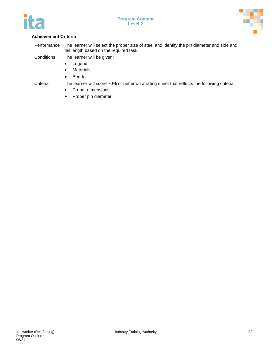



### **Achievement Criteria**

Performance The learner will select the proper size of steel and identify the pin diameter and side and tail length based on the required task.

- Conditions The learner will be given:
	- Legend
	- Materials
	- Bender
- 

Criteria The learner will score 70% or better on a rating sheet that reflects the following criteria:

- Proper dimensions
- Proper pin diameter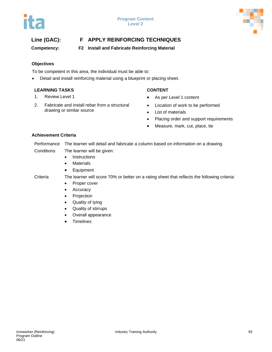

## **Line (GAC): F APPLY REINFORCING TECHNIQUES**

**Competency: F2 Install and Fabricate Reinforcing Material**

### **Objectives**

To be competent in this area, the individual must be able to:

• Detail and install reinforcing material using a blueprint or placing sheet.

### **LEARNING TASKS CONTENT**

- 
- 2. Fabricate and install rebar from a structural drawing or similar source

- 1. Review Level 1 **As per Level 1 As per Level 1 content** 
	- Location of work to be performed
	- List of materials
	- Placing order and support requirements
	- Measure, mark, cut, place, tie

#### **Achievement Criteria**

Performance The learner will detail and fabricate a column based on information on a drawing.

- Conditions The learner will be given:
	- Instructions
	- Materials
	- Equipment

Criteria The learner will score 70% or better on a rating sheet that reflects the following criteria:

- Proper cover
- Accuracy
- Projection
- Quality of tying
- Quality of stirrups
- Overall appearance
- Timelines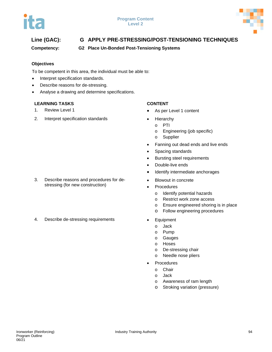

## **Line (GAC): G APPLY PRE-STRESSING/POST-TENSIONING TECHNIQUES**

**Competency: G2 Place Un-Bonded Post-Tensioning Systems**

#### **Objectives**

To be competent in this area, the individual must be able to:

- Interpret specification standards.
- Describe reasons for de-stressing.
- Analyse a drawing and determine specifications.

#### **LEARNING TASKS CONTENT**

- 
- 2. Interpret specification standards **•** Hierarchy

- 1. Review Level 1 As per Level 1 content
	- - o PTI
		- o Engineering (job specific)
		- o Supplier
	- Fanning out dead ends and live ends
	- Spacing standards
	- Bursting steel requirements
	- Double-live ends
	- Identify intermediate anchorages
	- Blowout in concrete
	- **Procedures** 
		- o Identify potential hazards
		- o Restrict work zone access
		- o Ensure engineered shoring is in place
		- o Follow engineering procedures
	- - o Jack
		- o Pump
		- o Gauges
		- o Hoses
		- o De-stressing chair
		- o Needle nose pliers
		- **Procedures**
		- o Chair
		- o Jack
		- o Awareness of ram length
		- o Stroking variation (pressure)

3. Describe reasons and procedures for destressing (for new construction)

4. Describe de-stressing requirements • Equipment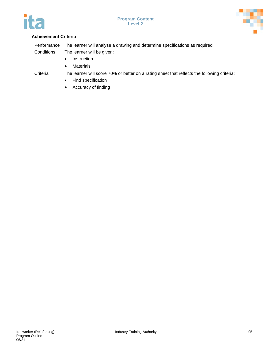



## **Achievement Criteria**

Performance The learner will analyse a drawing and determine specifications as required.

Conditions The learner will be given:

- Instruction
- Materials

- Criteria The learner will score 70% or better on a rating sheet that reflects the following criteria:
	- Find specification
	- Accuracy of finding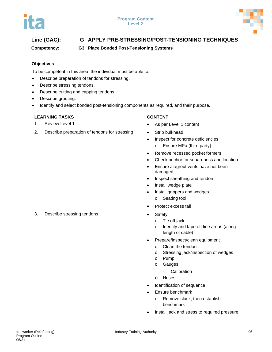

## **Line (GAC): G APPLY PRE-STRESSING/POST-TENSIONING TECHNIQUES**

**Competency: G3 Place Bonded Post-Tensioning Systems**

### **Objectives**

To be competent in this area, the individual must be able to:

- Describe preparation of tendons for stressing.
- Describe stressing tendons.
- Describe cutting and capping tendons.
- Describe grouting.
- Identify and select bonded post-tensioning components as required, and their purpose.

### **LEARNING TASKS CONTENT**

- 
- 2. Describe preparation of tendons for stressing Strip bulkhead

- 1. Review Level 1 **As per Level 1 As per Level 1 content** 
	-
	- Inspect for concrete deficiencies o Ensure MPa (third party)
	- Remove recessed pocket formers
	- Check anchor for squareness and location
	- Ensure air/grout vents have not been damaged
	- Inspect sheathing and tendon
	- Install wedge plate
	- Install grippers and wedges
		- o Seating tool
	- Protect excess tail
- 3. Describe stressing tendons **•** Safety
	- o Tie off jack
	- o Identify and tape off line areas (along length of cable)
	- Prepare/inspect/clean equipment
		- o Clean the tendon
		- o Stressing jack/inspection of wedges
		- o Pump
		- o Gauges
			- Calibration
		- o Hoses
	- Identification of sequence
	- Ensure benchmark
		- o Remove slack, then establish benchmark
	- Install jack and stress to required pressure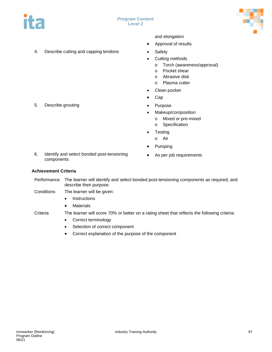



- and elongation
- Approval of results
- 4. Describe cutting and capping tendons Safety
	- Cutting methods
		- o Torch (awareness/approval)
		- o Pocket shear
		- o Abrasive disk
		- o Plasma cutter
	- Clean pocket
	- Cap
	-
	- Makeup/composition
		- o Mixed or pre-mixed
		- o Specification
	- **Testing** o Air
	- Pumping
- 6. Identify and select bonded post-tensioning components As per job requirements
	-

#### **Achievement Criteria**

- Performance The learner will identify and select bonded post-tensioning components as required, and describe their purpose.
- Conditions The learner will be given:
	- Instructions
	- Materials
- Criteria The learner will score 70% or better on a rating sheet that reflects the following criteria:
	- Correct terminology
	- Selection of correct component
	- Correct explanation of the purpose of the component

5. Describe grouting by the contract of the Purpose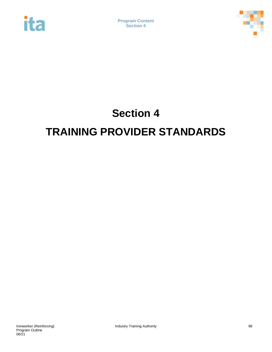



# **Section 4 TRAINING PROVIDER STANDARDS**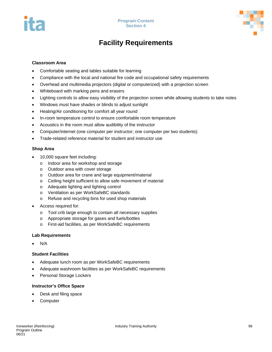

# **Facility Requirements**

#### **Classroom Area**

- Comfortable seating and tables suitable for learning
- Compliance with the local and national fire code and occupational safety requirements
- Overhead and multimedia projectors (digital or computerized) with a projection screen
- Whiteboard with marking pens and erasers
- Lighting controls to allow easy visibility of the projection screen while allowing students to take notes
- Windows must have shades or blinds to adjust sunlight
- Heating/Air conditioning for comfort all year round
- In-room temperature control to ensure comfortable room temperature
- Acoustics in the room must allow audibility of the instructor
- Computer/internet (one computer per instructor; one computer per two students)
- Trade-related reference material for student and instructor use

#### **Shop Area**

- 10,000 square feet including:
	- o Indoor area for workshop and storage
	- o Outdoor area with cover storage
	- o Outdoor area for crane and large equipment/material
	- o Ceiling height sufficient to allow safe movement of material
	- o Adequate lighting and lighting control
	- o Ventilation as per WorkSafeBC standards
	- o Refuse and recycling bins for used shop materials
- Access required for:
	- o Tool crib large enough to contain all necessary supplies
	- o Appropriate storage for gases and fuels/bottles
	- o First-aid facilities, as per WorkSafeBC requirements

#### **Lab Requirements**

• N/A

#### **Student Facilities**

- Adequate lunch room as per WorkSafeBC requirements
- Adequate washroom facilities as per WorkSafeBC requirements
- Personal Storage Lockers

#### **Instructor's Office Space**

- Desk and filing space
- **Computer**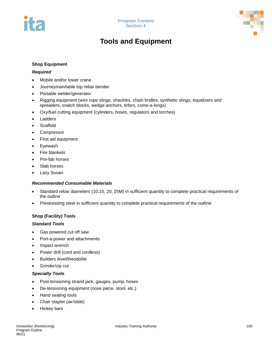# **Tools and Equipment**

#### **Shop Equipment**

#### *Required*

- Mobile and/or tower crane
- Journeyman/table top rebar bender
- Portable welder/generator
- Rigging equipment (wire rope slings, shackles, chain bridles, synthetic slings, equalizers and spreaders, snatch blocks, wedge anchors, tirfors, come-a-longs)
- Oxy/fuel cutting equipment (cylinders, hoses, regulators and torches)
- **Ladders**
- **Scaffold**
- **Compressor**
- First aid equipment
- **Eyewash**
- Fire blankets
- Pre-fab horses
- Slab horses
- Lazy Susan

#### *Recommended Consumable Materials*

- Standard rebar diameters (10,15, 20, 25M) in sufficient quantity to complete practical requirements of the outline
- Prestressing steel in sufficient quantity to complete practical requirements of the outline

#### **Shop (Facility) Tools**

#### *Standard Tools*

- Gas powered cut off saw
- Port-a-power and attachments
- Impact wrench
- Power drill (cord and cordless)
- Builders level/theodolite
- Grinder/zip cut

#### *Specialty Tools*

- Post-tensioning strand jack, gauges, pump, hoses
- De-tensioning equipment (nose piece, stool, etc.)
- Hand seating tools
- Chair stapler (air/slide)
- Hickey bars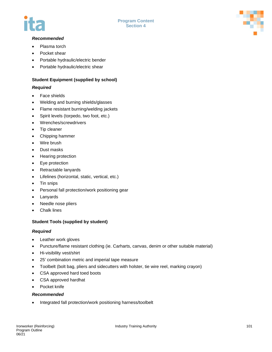

#### *Recommended*

- Plasma torch
- Pocket shear
- Portable hydraulic/electric bender
- Portable hydraulic/electric shear

#### **Student Equipment (supplied by school)**

#### *Required*

- Face shields
- Welding and burning shields/glasses
- Flame resistant burning/welding jackets
- Spirit levels (torpedo, two foot, etc.)
- Wrenches/screwdrivers
- Tip cleaner
- Chipping hammer
- Wire brush
- Dust masks
- Hearing protection
- Eye protection
- Retractable lanyards
- Lifelines (horizontal, static, vertical, etc.)
- Tin snips
- Personal fall protection/work positioning gear
- **Lanyards**
- Needle nose pliers
- **Chalk lines**

#### **Student Tools (supplied by student)**

#### *Required*

- Leather work gloves
- Puncture/flame resistant clothing (ie. Carharts, canvas, denim or other suitable material)
- Hi-visibility vest/shirt
- 25' combination metric and imperial tape measure
- Toolbelt (bolt bag, pliers and sidecutters with holster, tie wire reel, marking crayon)
- CSA approved hard toed boots
- CSA approved hardhat
- Pocket knife

#### *Recommended*

• Integrated fall protection/work positioning harness/toolbelt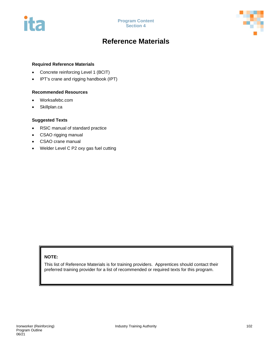# i i Fa

# **Reference Materials**

## **Required Reference Materials**

- Concrete reinforcing Level 1 (BCIT)
- IPT's crane and rigging handbook (IPT)

#### **Recommended Resources**

- Worksafebc.com
- Skillplan.ca

#### **Suggested Texts**

- RSIC manual of standard practice
- CSAO rigging manual
- CSAO crane manual
- Welder Level C P2 oxy gas fuel cutting

## **NOTE:**

This list of Reference Materials is for training providers. Apprentices should contact their preferred training provider for a list of recommended or required texts for this program.